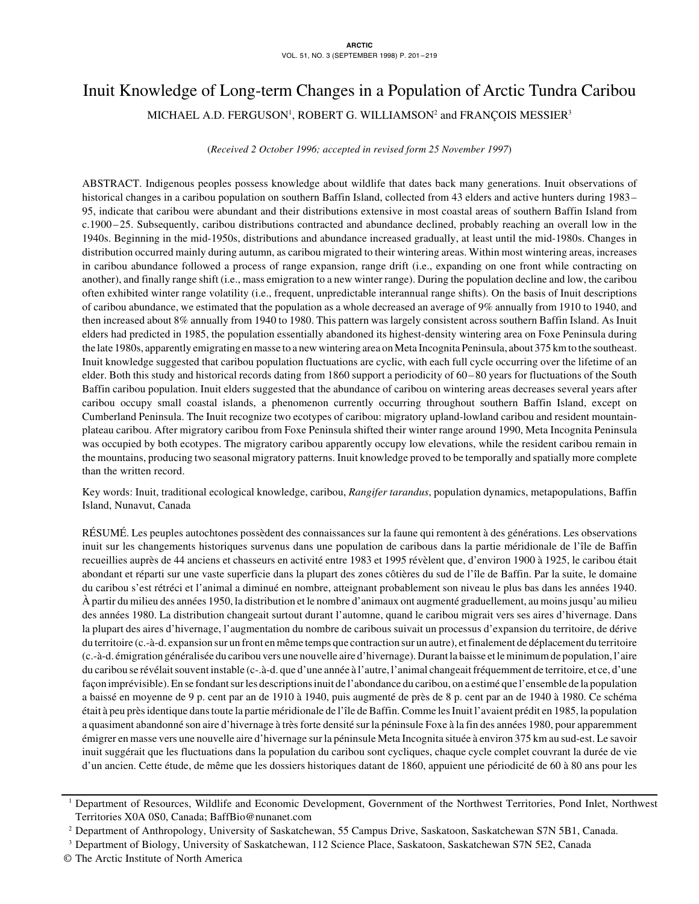# Inuit Knowledge of Long-term Changes in a Population of Arctic Tundra Caribou

MICHAEL A.D. FERGUSON', ROBERT G. WILLIAMSON<sup>2</sup> and FRANÇOIS MESSIER $^3$ 

(*Received 2 October 1996; accepted in revised form 25 November 1997*)

ABSTRACT. Indigenous peoples possess knowledge about wildlife that dates back many generations. Inuit observations of historical changes in a caribou population on southern Baffin Island, collected from 43 elders and active hunters during 1983– 95, indicate that caribou were abundant and their distributions extensive in most coastal areas of southern Baffin Island from c.1900–25. Subsequently, caribou distributions contracted and abundance declined, probably reaching an overall low in the 1940s. Beginning in the mid-1950s, distributions and abundance increased gradually, at least until the mid-1980s. Changes in distribution occurred mainly during autumn, as caribou migrated to their wintering areas. Within most wintering areas, increases in caribou abundance followed a process of range expansion, range drift (i.e., expanding on one front while contracting on another), and finally range shift (i.e., mass emigration to a new winter range). During the population decline and low, the caribou often exhibited winter range volatility (i.e., frequent, unpredictable interannual range shifts). On the basis of Inuit descriptions of caribou abundance, we estimated that the population as a whole decreased an average of 9% annually from 1910 to 1940, and then increased about 8% annually from 1940 to 1980. This pattern was largely consistent across southern Baffin Island. As Inuit elders had predicted in 1985, the population essentially abandoned its highest-density wintering area on Foxe Peninsula during the late 1980s, apparently emigrating en masse to a new wintering area on Meta Incognita Peninsula, about 375 km to the southeast. Inuit knowledge suggested that caribou population fluctuations are cyclic, with each full cycle occurring over the lifetime of an elder. Both this study and historical records dating from 1860 support a periodicity of 60–80 years for fluctuations of the South Baffin caribou population. Inuit elders suggested that the abundance of caribou on wintering areas decreases several years after caribou occupy small coastal islands, a phenomenon currently occurring throughout southern Baffin Island, except on Cumberland Peninsula. The Inuit recognize two ecotypes of caribou: migratory upland-lowland caribou and resident mountainplateau caribou. After migratory caribou from Foxe Peninsula shifted their winter range around 1990, Meta Incognita Peninsula was occupied by both ecotypes. The migratory caribou apparently occupy low elevations, while the resident caribou remain in the mountains, producing two seasonal migratory patterns. Inuit knowledge proved to be temporally and spatially more complete than the written record.

Key words: Inuit, traditional ecological knowledge, caribou, *Rangifer tarandus*, population dynamics, metapopulations, Baffin Island, Nunavut, Canada

RÉSUMÉ. Les peuples autochtones possèdent des connaissances sur la faune qui remontent à des générations. Les observations inuit sur les changements historiques survenus dans une population de caribous dans la partie méridionale de l'île de Baffin recueillies auprès de 44 anciens et chasseurs en activité entre 1983 et 1995 révèlent que, d'environ 1900 à 1925, le caribou était abondant et réparti sur une vaste superficie dans la plupart des zones côtières du sud de l'île de Baffin. Par la suite, le domaine du caribou s'est rétréci et l'animal a diminué en nombre, atteignant probablement son niveau le plus bas dans les années 1940. À partir du milieu des années 1950, la distribution et le nombre d'animaux ont augmenté graduellement, au moins jusqu'au milieu des années 1980. La distribution changeait surtout durant l'automne, quand le caribou migrait vers ses aires d'hivernage. Dans la plupart des aires d'hivernage, l'augmentation du nombre de caribous suivait un processus d'expansion du territoire, de dérive du territoire (c.-à-d. expansion sur un front en même temps que contraction sur un autre), et finalement de déplacement du territoire (c.-à-d. émigration généralisée du caribou vers une nouvelle aire d'hivernage). Durant la baisse et le minimum de population, l'aire du caribou se révélait souvent instable (c-.à-d. que d'une année à l'autre, l'animal changeait fréquemment de territoire, et ce, d'une façon imprévisible). En se fondant sur les descriptions inuit de l'abondance du caribou, on a estimé que l'ensemble de la population a baissé en moyenne de 9 p. cent par an de 1910 à 1940, puis augmenté de près de 8 p. cent par an de 1940 à 1980. Ce schéma était à peu près identique dans toute la partie méridionale de l'île de Baffin. Comme les Inuit l'avaient prédit en 1985, la population a quasiment abandonné son aire d'hivernage à très forte densité sur la péninsule Foxe à la fin des années 1980, pour apparemment émigrer en masse vers une nouvelle aire d'hivernage sur la péninsule Meta Incognita située à environ 375 km au sud-est. Le savoir inuit suggérait que les fluctuations dans la population du caribou sont cycliques, chaque cycle complet couvrant la durée de vie d'un ancien. Cette étude, de même que les dossiers historiques datant de 1860, appuient une périodicité de 60 à 80 ans pour les

<sup>1</sup> Department of Resources, Wildlife and Economic Development, Government of the Northwest Territories, Pond Inlet, Northwest Territories X0A 0S0, Canada; BaffBio@nunanet.com

<sup>2</sup> Department of Anthropology, University of Saskatchewan, 55 Campus Drive, Saskatoon, Saskatchewan S7N 5B1, Canada.

<sup>3</sup> Department of Biology, University of Saskatchewan, 112 Science Place, Saskatoon, Saskatchewan S7N 5E2, Canada

<sup>©</sup> The Arctic Institute of North America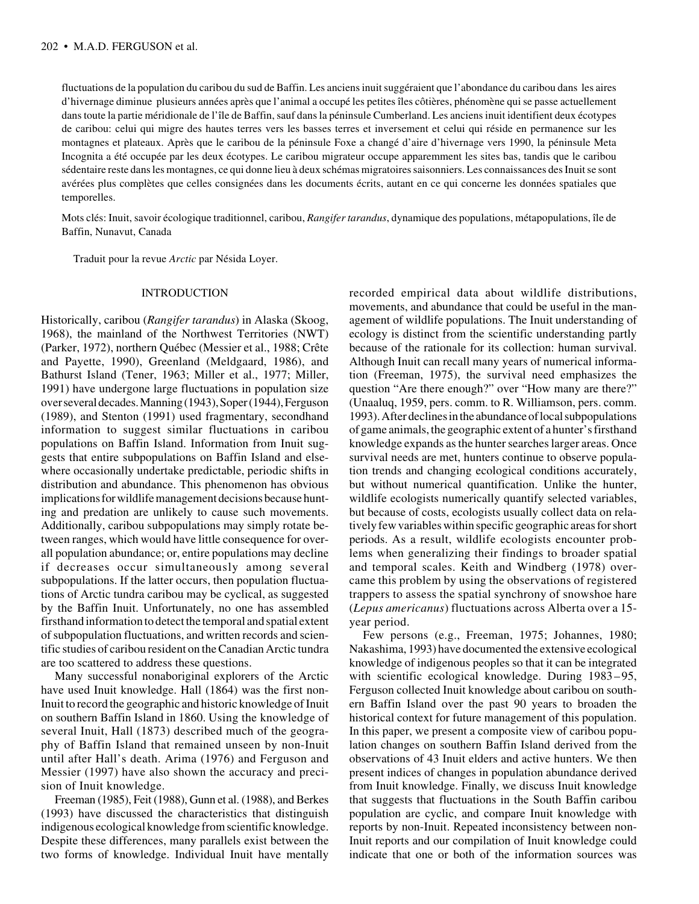fluctuations de la population du caribou du sud de Baffin. Les anciens inuit suggéraient que l'abondance du caribou dans les aires d'hivernage diminue plusieurs années après que l'animal a occupé les petites îles côtières, phénomène qui se passe actuellement dans toute la partie méridionale de l'île de Baffin, sauf dans la péninsule Cumberland. Les anciens inuit identifient deux écotypes de caribou: celui qui migre des hautes terres vers les basses terres et inversement et celui qui réside en permanence sur les montagnes et plateaux. Après que le caribou de la péninsule Foxe a changé d'aire d'hivernage vers 1990, la péninsule Meta Incognita a été occupée par les deux écotypes. Le caribou migrateur occupe apparemment les sites bas, tandis que le caribou sédentaire reste dans les montagnes, ce qui donne lieu à deux schémas migratoires saisonniers. Les connaissances des Inuit se sont avérées plus complètes que celles consignées dans les documents écrits, autant en ce qui concerne les données spatiales que temporelles.

Mots clés: Inuit, savoir écologique traditionnel, caribou, *Rangifer tarandus*, dynamique des populations, métapopulations, île de Baffin, Nunavut, Canada

Traduit pour la revue *Arctic* par Nésida Loyer.

#### INTRODUCTION

Historically, caribou (*Rangifer tarandus*) in Alaska (Skoog, 1968), the mainland of the Northwest Territories (NWT) (Parker, 1972), northern Québec (Messier et al., 1988; Crête and Payette, 1990), Greenland (Meldgaard, 1986), and Bathurst Island (Tener, 1963; Miller et al., 1977; Miller, 1991) have undergone large fluctuations in population size over several decades. Manning (1943), Soper (1944), Ferguson (1989), and Stenton (1991) used fragmentary, secondhand information to suggest similar fluctuations in caribou populations on Baffin Island. Information from Inuit suggests that entire subpopulations on Baffin Island and elsewhere occasionally undertake predictable, periodic shifts in distribution and abundance. This phenomenon has obvious implications for wildlife management decisions because hunting and predation are unlikely to cause such movements. Additionally, caribou subpopulations may simply rotate between ranges, which would have little consequence for overall population abundance; or, entire populations may decline if decreases occur simultaneously among several subpopulations. If the latter occurs, then population fluctuations of Arctic tundra caribou may be cyclical, as suggested by the Baffin Inuit. Unfortunately, no one has assembled firsthand information to detect the temporal and spatial extent of subpopulation fluctuations, and written records and scientific studies of caribou resident on the Canadian Arctic tundra are too scattered to address these questions.

Many successful nonaboriginal explorers of the Arctic have used Inuit knowledge. Hall (1864) was the first non-Inuit to record the geographic and historic knowledge of Inuit on southern Baffin Island in 1860. Using the knowledge of several Inuit, Hall (1873) described much of the geography of Baffin Island that remained unseen by non-Inuit until after Hall's death. Arima (1976) and Ferguson and Messier (1997) have also shown the accuracy and precision of Inuit knowledge.

Freeman (1985), Feit (1988), Gunn et al. (1988), and Berkes (1993) have discussed the characteristics that distinguish indigenous ecological knowledge from scientific knowledge. Despite these differences, many parallels exist between the two forms of knowledge. Individual Inuit have mentally

recorded empirical data about wildlife distributions, movements, and abundance that could be useful in the management of wildlife populations. The Inuit understanding of ecology is distinct from the scientific understanding partly because of the rationale for its collection: human survival. Although Inuit can recall many years of numerical information (Freeman, 1975), the survival need emphasizes the question "Are there enough?" over "How many are there?" (Unaaluq, 1959, pers. comm. to R. Williamson, pers. comm. 1993). After declines in the abundance of local subpopulations of game animals, the geographic extent of a hunter's firsthand knowledge expands as the hunter searches larger areas. Once survival needs are met, hunters continue to observe population trends and changing ecological conditions accurately, but without numerical quantification. Unlike the hunter, wildlife ecologists numerically quantify selected variables, but because of costs, ecologists usually collect data on relatively few variables within specific geographic areas for short periods. As a result, wildlife ecologists encounter problems when generalizing their findings to broader spatial and temporal scales. Keith and Windberg (1978) overcame this problem by using the observations of registered trappers to assess the spatial synchrony of snowshoe hare (*Lepus americanus*) fluctuations across Alberta over a 15 year period.

Few persons (e.g., Freeman, 1975; Johannes, 1980; Nakashima, 1993) have documented the extensive ecological knowledge of indigenous peoples so that it can be integrated with scientific ecological knowledge. During 1983–95, Ferguson collected Inuit knowledge about caribou on southern Baffin Island over the past 90 years to broaden the historical context for future management of this population. In this paper, we present a composite view of caribou population changes on southern Baffin Island derived from the observations of 43 Inuit elders and active hunters. We then present indices of changes in population abundance derived from Inuit knowledge. Finally, we discuss Inuit knowledge that suggests that fluctuations in the South Baffin caribou population are cyclic, and compare Inuit knowledge with reports by non-Inuit. Repeated inconsistency between non-Inuit reports and our compilation of Inuit knowledge could indicate that one or both of the information sources was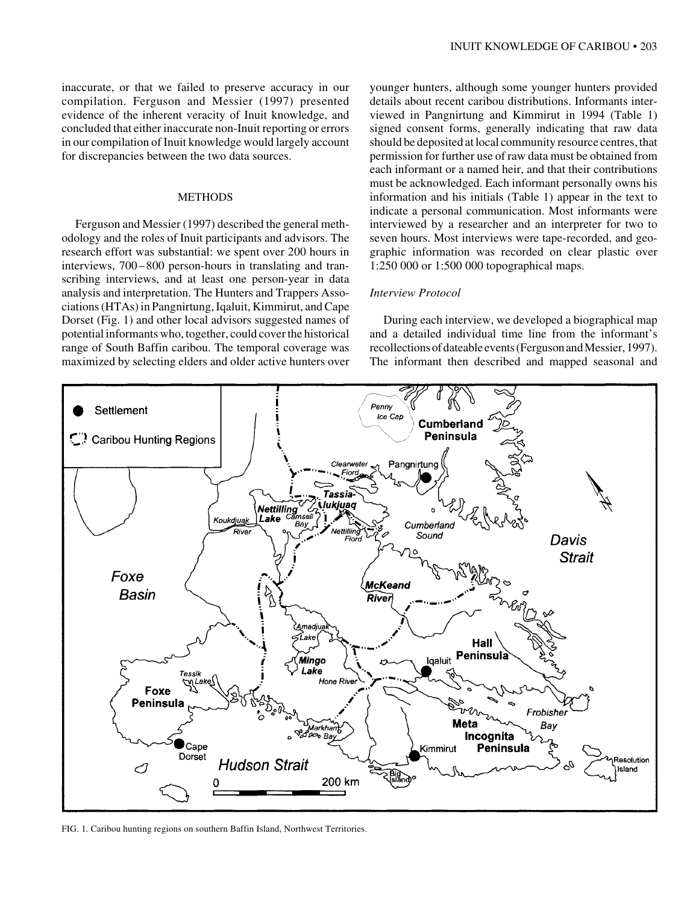inaccurate, or that we failed to preserve accuracy in our compilation. Ferguson and Messier (1997) presented evidence of the inherent veracity of Inuit knowledge, and concluded that either inaccurate non-Inuit reporting or errors in our compilation of Inuit knowledge would largely account for discrepancies between the two data sources.

#### METHODS

Ferguson and Messier (1997) described the general methodology and the roles of Inuit participants and advisors. The research effort was substantial: we spent over 200 hours in interviews, 700–800 person-hours in translating and transcribing interviews, and at least one person-year in data analysis and interpretation. The Hunters and Trappers Associations (HTAs) in Pangnirtung, Iqaluit, Kimmirut, and Cape Dorset (Fig. 1) and other local advisors suggested names of potential informants who, together, could cover the historical range of South Baffin caribou. The temporal coverage was maximized by selecting elders and older active hunters over

younger hunters, although some younger hunters provided details about recent caribou distributions. Informants interviewed in Pangnirtung and Kimmirut in 1994 (Table 1) signed consent forms, generally indicating that raw data should be deposited at local community resource centres, that permission for further use of raw data must be obtained from each informant or a named heir, and that their contributions must be acknowledged. Each informant personally owns his information and his initials (Table 1) appear in the text to indicate a personal communication. Most informants were interviewed by a researcher and an interpreter for two to seven hours. Most interviews were tape-recorded, and geographic information was recorded on clear plastic over 1:250 000 or 1:500 000 topographical maps.

#### *Interview Protocol*

During each interview, we developed a biographical map and a detailed individual time line from the informant's recollections of dateable events (Ferguson and Messier, 1997). The informant then described and mapped seasonal and



FIG. 1. Caribou hunting regions on southern Baffin Island, Northwest Territories.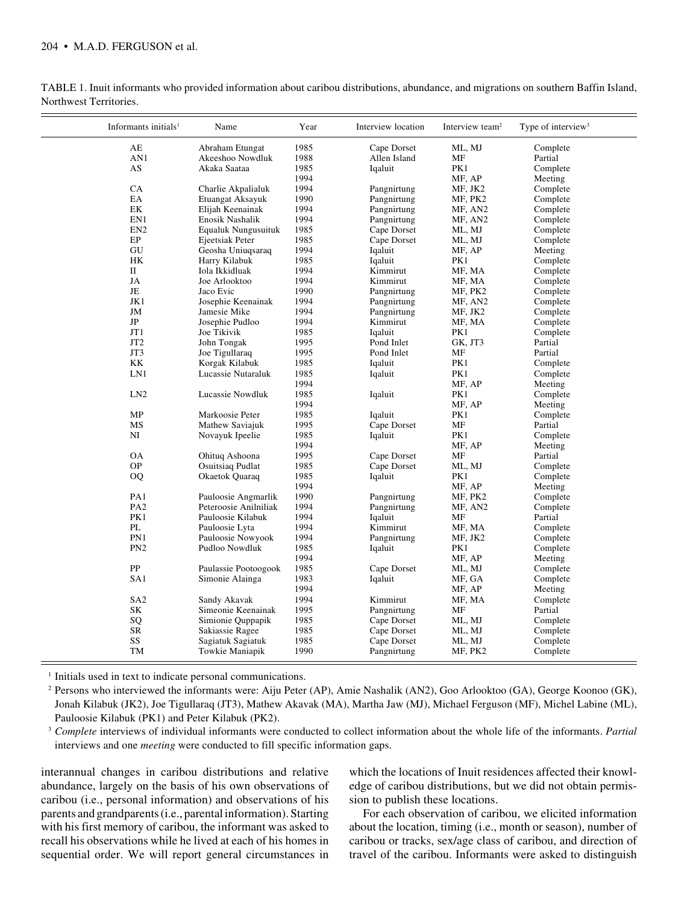| Informants initials <sup>1</sup> | Name                    | Year | Interview location | Interview team <sup>2</sup> | Type of interview <sup>3</sup> |
|----------------------------------|-------------------------|------|--------------------|-----------------------------|--------------------------------|
| AE                               | Abraham Etungat         | 1985 | Cape Dorset        | ML, MJ                      | Complete                       |
| AN1                              | Akeeshoo Nowdluk        | 1988 | Allen Island       | MF                          | Partial                        |
| AS                               | Akaka Saataa            | 1985 | Iqaluit            | PK1                         | Complete                       |
|                                  |                         | 1994 |                    | MF, AP                      | Meeting                        |
| CA                               | Charlie Akpalialuk      | 1994 | Pangnirtung        | MF, JK2                     | Complete                       |
| EA                               | Etuangat Aksayuk        | 1990 | Pangnirtung        | MF, PK2                     | Complete                       |
| EK                               | Elijah Keenainak        | 1994 | Pangnirtung        | MF, AN2                     | Complete                       |
| EN1                              | <b>Enosik Nashalik</b>  | 1994 | Pangnirtung        | MF, AN2                     | Complete                       |
| EN <sub>2</sub>                  | Equaluk Nungusuituk     | 1985 | Cape Dorset        | ML, MJ                      | Complete                       |
| EP                               | Ejeetsiak Peter         | 1985 | Cape Dorset        | ML, MJ                      | Complete                       |
| GU                               | Geosha Uniuqsaraq       | 1994 | Iqaluit            | MF, AP                      | Meeting                        |
| НK                               | Harry Kilabuk           | 1985 | Iqaluit            | PK1                         | Complete                       |
| $\mathbf{I}$                     | Iola Ikkidluak          | 1994 | Kimmirut           | MF, MA                      | Complete                       |
| JA                               | Joe Arlooktoo           | 1994 | Kimmirut           | MF, MA                      | Complete                       |
| JE                               | Jaco Evic               | 1990 | Pangnirtung        | MF, PK2                     | Complete                       |
| JK1                              | Josephie Keenainak      | 1994 | Pangnirtung        | MF, AN2                     | Complete                       |
| JM                               | Jamesie Mike            | 1994 | Pangnirtung        | MF, JK2                     | Complete                       |
| JP                               | Josephie Pudloo         | 1994 | Kimmirut           | MF, MA                      | Complete                       |
| JT1                              | Joe Tikivik             | 1985 | Iqaluit            | PK1                         | Complete                       |
| JT <sub>2</sub>                  | John Tongak             | 1995 | Pond Inlet         | GK, JT3                     | Partial                        |
| JT3                              | Joe Tigullaraq          | 1995 | Pond Inlet         | MF                          | Partial                        |
| KK                               | Korgak Kilabuk          | 1985 | Iqaluit            | PK1                         | Complete                       |
| LN1                              | Lucassie Nutaraluk      | 1985 | Iqaluit            | PK1                         | Complete                       |
|                                  |                         | 1994 |                    | MF, AP                      | Meeting                        |
| LN2                              | Lucassie Nowdluk        | 1985 | Iqaluit            | PK1                         | Complete                       |
|                                  |                         | 1994 |                    | MF, AP                      | Meeting                        |
| MP                               | Markoosie Peter         | 1985 | Iqaluit            | PK1                         | Complete                       |
| MS                               | Mathew Saviajuk         | 1995 | Cape Dorset        | MF                          | Partial                        |
| NI                               | Novayuk Ipeelie         | 1985 | Iqaluit            | PK1                         | Complete                       |
|                                  |                         | 1994 |                    | MF, AP                      | Meeting                        |
| <b>OA</b>                        | Ohituq Ashoona          | 1995 | Cape Dorset        | MF                          | Partial                        |
| <b>OP</b>                        | <b>Osuitsiaq Pudlat</b> | 1985 | Cape Dorset        | ML, MJ                      | Complete                       |
| <b>OQ</b>                        | Okaetok Quaraq          | 1985 | Iqaluit            | PK1                         | Complete                       |
|                                  |                         | 1994 |                    | MF, AP                      | Meeting                        |
| PA1                              | Pauloosie Angmarlik     | 1990 | Pangnirtung        | MF, PK2                     | Complete                       |
| PA <sub>2</sub>                  | Peteroosie Anilniliak   | 1994 | Pangnirtung        | MF, AN2                     | Complete                       |
| PK1                              | Pauloosie Kilabuk       | 1994 | Iqaluit            | MF                          | Partial                        |
| PL                               | Pauloosie Lyta          | 1994 | Kimmirut           | MF, MA                      | Complete                       |
| PN1                              | Pauloosie Nowyook       | 1994 | Pangnirtung        | MF, JK2                     | Complete                       |
| PN <sub>2</sub>                  | Pudloo Nowdluk          | 1985 | Iqaluit            | PK1                         | Complete                       |
|                                  |                         | 1994 |                    | MF, AP                      | Meeting                        |
| PP                               | Paulassie Pootoogook    | 1985 | Cape Dorset        | ML, MJ                      | Complete                       |
| SA1                              | Simonie Alainga         | 1983 | Iqaluit            | MF, GA                      | Complete                       |
|                                  |                         | 1994 |                    | MF, AP                      | Meeting                        |
| SA <sub>2</sub>                  | Sandy Akavak            | 1994 | Kimmirut           | MF, MA                      | Complete                       |
| SK                               | Simeonie Keenainak      | 1995 | Pangnirtung        | MF                          | Partial                        |
| SQ                               | Simionie Quppapik       | 1985 | Cape Dorset        | ML, MJ                      | Complete                       |
| SR                               | Sakiassie Ragee         | 1985 | Cape Dorset        | ML, MJ                      | Complete                       |
| SS                               | Sagiatuk Sagiatuk       | 1985 | Cape Dorset        | ML, MJ                      | Complete                       |
| TM                               | Towkie Maniapik         | 1990 | Pangnirtung        | MF, PK2                     | Complete                       |
|                                  |                         |      |                    |                             |                                |

TABLE 1. Inuit informants who provided information about caribou distributions, abundance, and migrations on southern Baffin Island, Northwest Territories.

<sup>1</sup> Initials used in text to indicate personal communications.

<sup>2</sup> Persons who interviewed the informants were: Aiju Peter (AP), Amie Nashalik (AN2), Goo Arlooktoo (GA), George Koonoo (GK), Jonah Kilabuk (JK2), Joe Tigullaraq (JT3), Mathew Akavak (MA), Martha Jaw (MJ), Michael Ferguson (MF), Michel Labine (ML), Pauloosie Kilabuk (PK1) and Peter Kilabuk (PK2).

<sup>3</sup> *Complete* interviews of individual informants were conducted to collect information about the whole life of the informants. *Partial* interviews and one *meeting* were conducted to fill specific information gaps.

interannual changes in caribou distributions and relative abundance, largely on the basis of his own observations of caribou (i.e., personal information) and observations of his parents and grandparents (i.e., parental information). Starting with his first memory of caribou, the informant was asked to recall his observations while he lived at each of his homes in sequential order. We will report general circumstances in which the locations of Inuit residences affected their knowledge of caribou distributions, but we did not obtain permission to publish these locations.

For each observation of caribou, we elicited information about the location, timing (i.e., month or season), number of caribou or tracks, sex/age class of caribou, and direction of travel of the caribou. Informants were asked to distinguish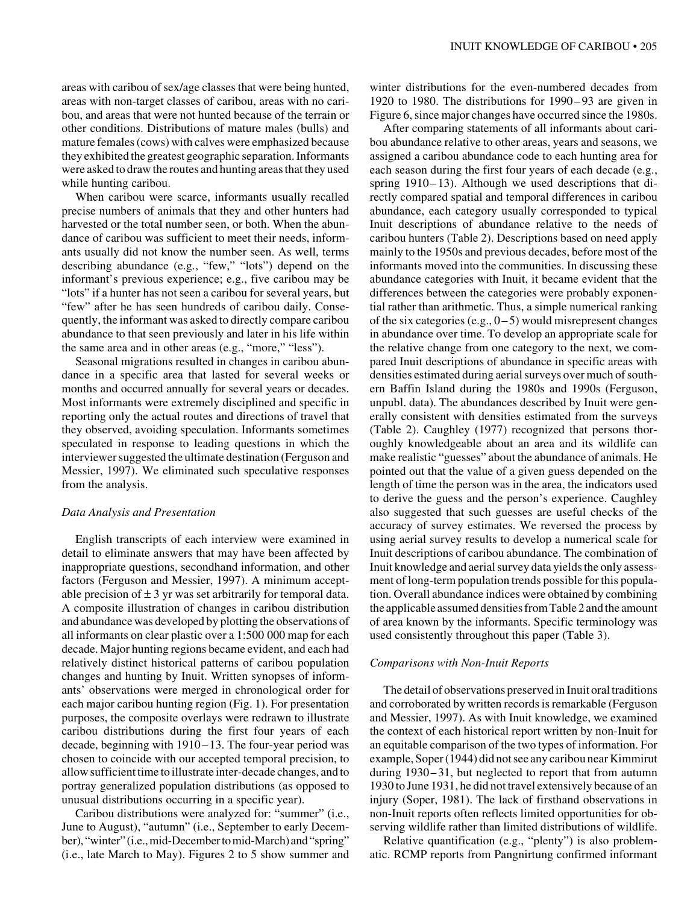areas with caribou of sex/age classes that were being hunted, areas with non-target classes of caribou, areas with no caribou, and areas that were not hunted because of the terrain or other conditions. Distributions of mature males (bulls) and mature females (cows) with calves were emphasized because they exhibited the greatest geographic separation. Informants were asked to draw the routes and hunting areas that they used while hunting caribou.

When caribou were scarce, informants usually recalled precise numbers of animals that they and other hunters had harvested or the total number seen, or both. When the abundance of caribou was sufficient to meet their needs, informants usually did not know the number seen. As well, terms describing abundance (e.g., "few," "lots") depend on the informant's previous experience; e.g., five caribou may be "lots" if a hunter has not seen a caribou for several years, but "few" after he has seen hundreds of caribou daily. Consequently, the informant was asked to directly compare caribou abundance to that seen previously and later in his life within the same area and in other areas (e.g., "more," "less").

Seasonal migrations resulted in changes in caribou abundance in a specific area that lasted for several weeks or months and occurred annually for several years or decades. Most informants were extremely disciplined and specific in reporting only the actual routes and directions of travel that they observed, avoiding speculation. Informants sometimes speculated in response to leading questions in which the interviewer suggested the ultimate destination (Ferguson and Messier, 1997). We eliminated such speculative responses from the analysis.

#### *Data Analysis and Presentation*

English transcripts of each interview were examined in detail to eliminate answers that may have been affected by inappropriate questions, secondhand information, and other factors (Ferguson and Messier, 1997). A minimum acceptable precision of  $\pm 3$  yr was set arbitrarily for temporal data. A composite illustration of changes in caribou distribution and abundance was developed by plotting the observations of all informants on clear plastic over a 1:500 000 map for each decade. Major hunting regions became evident, and each had relatively distinct historical patterns of caribou population changes and hunting by Inuit. Written synopses of informants' observations were merged in chronological order for each major caribou hunting region (Fig. 1). For presentation purposes, the composite overlays were redrawn to illustrate caribou distributions during the first four years of each decade, beginning with 1910–13. The four-year period was chosen to coincide with our accepted temporal precision, to allow sufficient time to illustrate inter-decade changes, and to portray generalized population distributions (as opposed to unusual distributions occurring in a specific year).

Caribou distributions were analyzed for: "summer" (i.e., June to August), "autumn" (i.e., September to early December), "winter" (i.e., mid-December to mid-March) and "spring" (i.e., late March to May). Figures 2 to 5 show summer and winter distributions for the even-numbered decades from 1920 to 1980. The distributions for 1990– 93 are given in Figure 6, since major changes have occurred since the 1980s.

After comparing statements of all informants about caribou abundance relative to other areas, years and seasons, we assigned a caribou abundance code to each hunting area for each season during the first four years of each decade (e.g., spring 1910–13). Although we used descriptions that directly compared spatial and temporal differences in caribou abundance, each category usually corresponded to typical Inuit descriptions of abundance relative to the needs of caribou hunters (Table 2). Descriptions based on need apply mainly to the 1950s and previous decades, before most of the informants moved into the communities. In discussing these abundance categories with Inuit, it became evident that the differences between the categories were probably exponential rather than arithmetic. Thus, a simple numerical ranking of the six categories (e.g.,  $0-5$ ) would misrepresent changes in abundance over time. To develop an appropriate scale for the relative change from one category to the next, we compared Inuit descriptions of abundance in specific areas with densities estimated during aerial surveys over much of southern Baffin Island during the 1980s and 1990s (Ferguson, unpubl. data). The abundances described by Inuit were generally consistent with densities estimated from the surveys (Table 2). Caughley (1977) recognized that persons thoroughly knowledgeable about an area and its wildlife can make realistic "guesses" about the abundance of animals. He pointed out that the value of a given guess depended on the length of time the person was in the area, the indicators used to derive the guess and the person's experience. Caughley also suggested that such guesses are useful checks of the accuracy of survey estimates. We reversed the process by using aerial survey results to develop a numerical scale for Inuit descriptions of caribou abundance. The combination of Inuit knowledge and aerial survey data yields the only assessment of long-term population trends possible for this population. Overall abundance indices were obtained by combining the applicable assumed densities from Table 2 and the amount of area known by the informants. Specific terminology was used consistently throughout this paper (Table 3).

#### *Comparisons with Non-Inuit Reports*

The detail of observations preserved in Inuit oral traditions and corroborated by written records is remarkable (Ferguson and Messier, 1997). As with Inuit knowledge, we examined the context of each historical report written by non-Inuit for an equitable comparison of the two types of information. For example, Soper (1944) did not see any caribou near Kimmirut during 1930–31, but neglected to report that from autumn 1930 to June 1931, he did not travel extensively because of an injury (Soper, 1981). The lack of firsthand observations in non-Inuit reports often reflects limited opportunities for observing wildlife rather than limited distributions of wildlife.

Relative quantification (e.g., "plenty") is also problematic. RCMP reports from Pangnirtung confirmed informant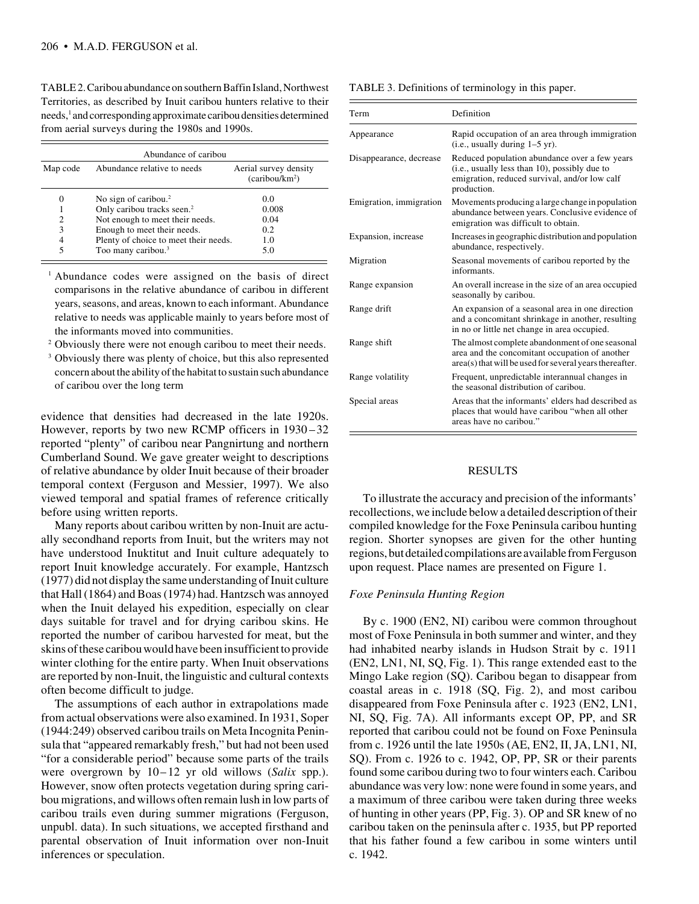TABLE 2. Caribou abundance on southern Baffin Island, Northwest Territories, as described by Inuit caribou hunters relative to their needs,<sup>1</sup> and corresponding approximate caribou densities determined from aerial surveys during the 1980s and 1990s.

| Abundance of caribou |                                        |                                                     |  |  |  |  |  |
|----------------------|----------------------------------------|-----------------------------------------------------|--|--|--|--|--|
| Map code             | Abundance relative to needs            | Aerial survey density<br>(caribou/km <sup>2</sup> ) |  |  |  |  |  |
| 0                    | No sign of caribou. $2$                | 0.0                                                 |  |  |  |  |  |
|                      | Only caribou tracks seen. <sup>2</sup> | 0.008                                               |  |  |  |  |  |
| 2                    | Not enough to meet their needs.        | 0.04                                                |  |  |  |  |  |
| 3                    | Enough to meet their needs.            | 0.2                                                 |  |  |  |  |  |
| 4                    | Plenty of choice to meet their needs.  | 1.0                                                 |  |  |  |  |  |
| 5                    | Too many caribou. <sup>3</sup>         | 5.0                                                 |  |  |  |  |  |

<sup>1</sup> Abundance codes were assigned on the basis of direct comparisons in the relative abundance of caribou in different years, seasons, and areas, known to each informant. Abundance relative to needs was applicable mainly to years before most of the informants moved into communities.

- <sup>2</sup> Obviously there were not enough caribou to meet their needs.
- <sup>3</sup> Obviously there was plenty of choice, but this also represented concern about the ability of the habitat to sustain such abundance of caribou over the long term

evidence that densities had decreased in the late 1920s. However, reports by two new RCMP officers in 1930 –32 reported "plenty" of caribou near Pangnirtung and northern Cumberland Sound. We gave greater weight to descriptions of relative abundance by older Inuit because of their broader temporal context (Ferguson and Messier, 1997). We also viewed temporal and spatial frames of reference critically before using written reports.

Many reports about caribou written by non-Inuit are actually secondhand reports from Inuit, but the writers may not have understood Inuktitut and Inuit culture adequately to report Inuit knowledge accurately. For example, Hantzsch (1977) did not display the same understanding of Inuit culture that Hall (1864) and Boas (1974) had. Hantzsch was annoyed when the Inuit delayed his expedition, especially on clear days suitable for travel and for drying caribou skins. He reported the number of caribou harvested for meat, but the skins of these caribou would have been insufficient to provide winter clothing for the entire party. When Inuit observations are reported by non-Inuit, the linguistic and cultural contexts often become difficult to judge.

The assumptions of each author in extrapolations made from actual observations were also examined. In 1931, Soper (1944:249) observed caribou trails on Meta Incognita Peninsula that "appeared remarkably fresh," but had not been used "for a considerable period" because some parts of the trails were overgrown by 10–12 yr old willows (*Salix* spp.). However, snow often protects vegetation during spring caribou migrations, and willows often remain lush in low parts of caribou trails even during summer migrations (Ferguson, unpubl. data). In such situations, we accepted firsthand and parental observation of Inuit information over non-Inuit inferences or speculation.

| Term                    | Definition                                                                                                                                                     |  |  |
|-------------------------|----------------------------------------------------------------------------------------------------------------------------------------------------------------|--|--|
| Appearance              | Rapid occupation of an area through immigration<br>$(i.e., usually during 1-5 yr).$                                                                            |  |  |
| Disappearance, decrease | Reduced population abundance over a few years<br>(i.e., usually less than 10), possibly due to<br>emigration, reduced survival, and/or low calf<br>production. |  |  |
| Emigration, immigration | Movements producing a large change in population<br>abundance between years. Conclusive evidence of<br>emigration was difficult to obtain.                     |  |  |
| Expansion, increase     | Increases in geographic distribution and population<br>abundance, respectively.                                                                                |  |  |
| Migration               | Seasonal movements of caribou reported by the<br>informants.                                                                                                   |  |  |
| Range expansion         | An overall increase in the size of an area occupied<br>seasonally by caribou.                                                                                  |  |  |
| Range drift             | An expansion of a seasonal area in one direction<br>and a concomitant shrinkage in another, resulting<br>in no or little net change in area occupied.          |  |  |
| Range shift             | The almost complete abandonment of one seasonal<br>area and the concomitant occupation of another<br>area(s) that will be used for several years thereafter.   |  |  |
| Range volatility        | Frequent, unpredictable interannual changes in<br>the seasonal distribution of caribou.                                                                        |  |  |
| Special areas           | Areas that the informants' elders had described as<br>places that would have caribou "when all other<br>areas have no caribou."                                |  |  |

## RESULTS

To illustrate the accuracy and precision of the informants' recollections, we include below a detailed description of their compiled knowledge for the Foxe Peninsula caribou hunting region. Shorter synopses are given for the other hunting regions, but detailed compilations are available from Ferguson upon request. Place names are presented on Figure 1.

## *Foxe Peninsula Hunting Region*

By c. 1900 (EN2, NI) caribou were common throughout most of Foxe Peninsula in both summer and winter, and they had inhabited nearby islands in Hudson Strait by c. 1911 (EN2, LN1, NI, SQ, Fig. 1). This range extended east to the Mingo Lake region (SQ). Caribou began to disappear from coastal areas in c. 1918 (SQ, Fig. 2), and most caribou disappeared from Foxe Peninsula after c. 1923 (EN2, LN1, NI, SQ, Fig. 7A). All informants except OP, PP, and SR reported that caribou could not be found on Foxe Peninsula from c. 1926 until the late 1950s (AE, EN2, II, JA, LN1, NI, SQ). From c. 1926 to c. 1942, OP, PP, SR or their parents found some caribou during two to four winters each. Caribou abundance was very low: none were found in some years, and a maximum of three caribou were taken during three weeks of hunting in other years (PP, Fig. 3). OP and SR knew of no caribou taken on the peninsula after c. 1935, but PP reported that his father found a few caribou in some winters until c. 1942.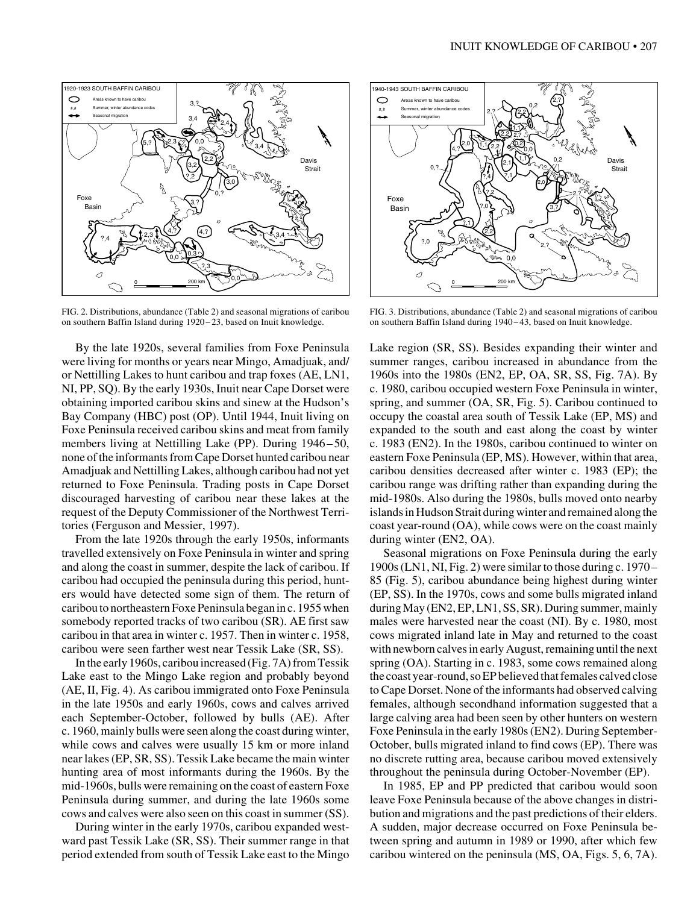

FIG. 2. Distributions, abundance (Table 2) and seasonal migrations of caribou on southern Baffin Island during 1920 – 23, based on Inuit knowledge.

By the late 1920s, several families from Foxe Peninsula were living for months or years near Mingo, Amadjuak, and/ or Nettilling Lakes to hunt caribou and trap foxes (AE, LN1, NI, PP, SQ). By the early 1930s, Inuit near Cape Dorset were obtaining imported caribou skins and sinew at the Hudson's Bay Company (HBC) post (OP). Until 1944, Inuit living on Foxe Peninsula received caribou skins and meat from family members living at Nettilling Lake (PP). During 1946–50, none of the informants from Cape Dorset hunted caribou near Amadjuak and Nettilling Lakes, although caribou had not yet returned to Foxe Peninsula. Trading posts in Cape Dorset discouraged harvesting of caribou near these lakes at the request of the Deputy Commissioner of the Northwest Territories (Ferguson and Messier, 1997).

From the late 1920s through the early 1950s, informants travelled extensively on Foxe Peninsula in winter and spring and along the coast in summer, despite the lack of caribou. If caribou had occupied the peninsula during this period, hunters would have detected some sign of them. The return of caribou to northeastern Foxe Peninsula began in c. 1955 when somebody reported tracks of two caribou (SR). AE first saw caribou in that area in winter c. 1957. Then in winter c. 1958, caribou were seen farther west near Tessik Lake (SR, SS).

In the early 1960s, caribou increased (Fig. 7A) from Tessik Lake east to the Mingo Lake region and probably beyond (AE, II, Fig. 4). As caribou immigrated onto Foxe Peninsula in the late 1950s and early 1960s, cows and calves arrived each September-October, followed by bulls (AE). After c. 1960, mainly bulls were seen along the coast during winter, while cows and calves were usually 15 km or more inland near lakes (EP, SR, SS). Tessik Lake became the main winter hunting area of most informants during the 1960s. By the mid-1960s, bulls were remaining on the coast of eastern Foxe Peninsula during summer, and during the late 1960s some cows and calves were also seen on this coast in summer (SS).

During winter in the early 1970s, caribou expanded westward past Tessik Lake (SR, SS). Their summer range in that period extended from south of Tessik Lake east to the Mingo



FIG. 3. Distributions, abundance (Table 2) and seasonal migrations of caribou on southern Baffin Island during 1940 – 43, based on Inuit knowledge.

Lake region (SR, SS). Besides expanding their winter and summer ranges, caribou increased in abundance from the 1960s into the 1980s (EN2, EP, OA, SR, SS, Fig. 7A). By c. 1980, caribou occupied western Foxe Peninsula in winter, spring, and summer (OA, SR, Fig. 5). Caribou continued to occupy the coastal area south of Tessik Lake (EP, MS) and expanded to the south and east along the coast by winter c. 1983 (EN2). In the 1980s, caribou continued to winter on eastern Foxe Peninsula (EP, MS). However, within that area, caribou densities decreased after winter c. 1983 (EP); the caribou range was drifting rather than expanding during the mid-1980s. Also during the 1980s, bulls moved onto nearby islands in Hudson Strait during winter and remained along the coast year-round (OA), while cows were on the coast mainly during winter (EN2, OA).

Seasonal migrations on Foxe Peninsula during the early 1900s (LN1, NI, Fig. 2) were similar to those during c. 1970– 85 (Fig. 5), caribou abundance being highest during winter (EP, SS). In the 1970s, cows and some bulls migrated inland during May (EN2, EP, LN1, SS, SR). During summer, mainly males were harvested near the coast (NI). By c. 1980, most cows migrated inland late in May and returned to the coast with newborn calves in early August, remaining until the next spring (OA). Starting in c. 1983, some cows remained along the coast year-round, so EP believed that females calved close to Cape Dorset. None of the informants had observed calving females, although secondhand information suggested that a large calving area had been seen by other hunters on western Foxe Peninsula in the early 1980s (EN2). During September-October, bulls migrated inland to find cows (EP). There was no discrete rutting area, because caribou moved extensively throughout the peninsula during October-November (EP).

In 1985, EP and PP predicted that caribou would soon leave Foxe Peninsula because of the above changes in distribution and migrations and the past predictions of their elders. A sudden, major decrease occurred on Foxe Peninsula between spring and autumn in 1989 or 1990, after which few caribou wintered on the peninsula (MS, OA, Figs. 5, 6, 7A).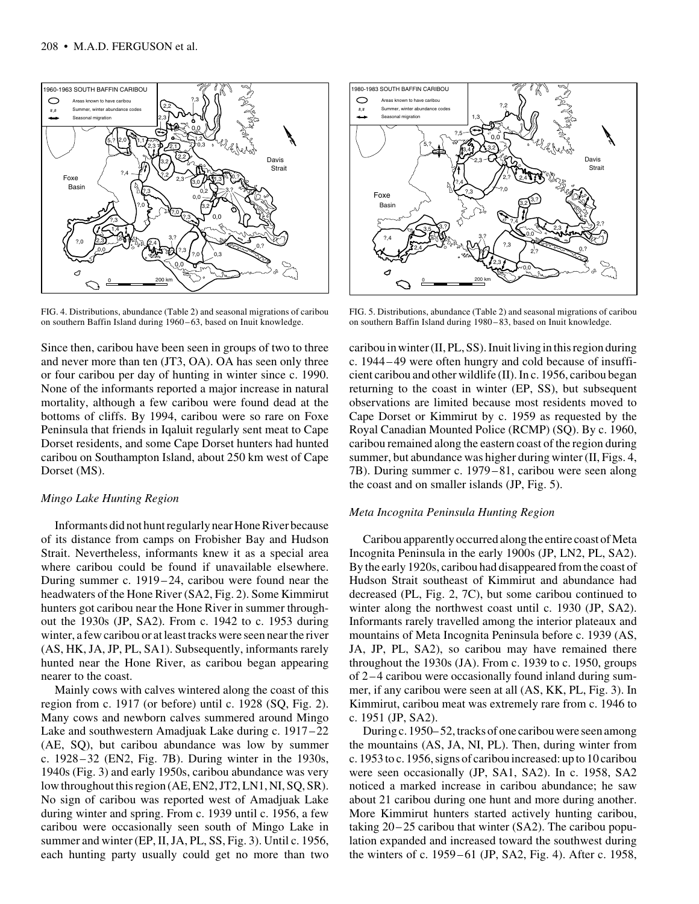

FIG. 4. Distributions, abundance (Table 2) and seasonal migrations of caribou on southern Baffin Island during 1960–63, based on Inuit knowledge.

Since then, caribou have been seen in groups of two to three and never more than ten (JT3, OA). OA has seen only three or four caribou per day of hunting in winter since c. 1990. None of the informants reported a major increase in natural mortality, although a few caribou were found dead at the bottoms of cliffs. By 1994, caribou were so rare on Foxe Peninsula that friends in Iqaluit regularly sent meat to Cape Dorset residents, and some Cape Dorset hunters had hunted caribou on Southampton Island, about 250 km west of Cape Dorset (MS).

#### *Mingo Lake Hunting Region*

Informants did not hunt regularly near Hone River because of its distance from camps on Frobisher Bay and Hudson Strait. Nevertheless, informants knew it as a special area where caribou could be found if unavailable elsewhere. During summer c. 1919–24, caribou were found near the headwaters of the Hone River (SA2, Fig. 2). Some Kimmirut hunters got caribou near the Hone River in summer throughout the 1930s (JP, SA2). From c. 1942 to c. 1953 during winter, a few caribou or at least tracks were seen near the river (AS, HK, JA, JP, PL, SA1). Subsequently, informants rarely hunted near the Hone River, as caribou began appearing nearer to the coast.

Mainly cows with calves wintered along the coast of this region from c. 1917 (or before) until c. 1928 (SQ, Fig. 2). Many cows and newborn calves summered around Mingo Lake and southwestern Amadjuak Lake during c. 1917–22 (AE, SQ), but caribou abundance was low by summer c. 1928–32 (EN2, Fig. 7B). During winter in the 1930s, 1940s (Fig. 3) and early 1950s, caribou abundance was very low throughout this region (AE, EN2, JT2, LN1, NI, SQ, SR). No sign of caribou was reported west of Amadjuak Lake during winter and spring. From c. 1939 until c. 1956, a few caribou were occasionally seen south of Mingo Lake in summer and winter (EP, II, JA, PL, SS, Fig. 3). Until c. 1956, each hunting party usually could get no more than two



FIG. 5. Distributions, abundance (Table 2) and seasonal migrations of caribou on southern Baffin Island during 1980 – 83, based on Inuit knowledge.

caribou in winter (II, PL, SS). Inuit living in this region during c. 1944–49 were often hungry and cold because of insufficient caribou and other wildlife (II). In c. 1956, caribou began returning to the coast in winter (EP, SS), but subsequent observations are limited because most residents moved to Cape Dorset or Kimmirut by c. 1959 as requested by the Royal Canadian Mounted Police (RCMP) (SQ). By c. 1960, caribou remained along the eastern coast of the region during summer, but abundance was higher during winter (II, Figs. 4, 7B). During summer c. 1979–81, caribou were seen along the coast and on smaller islands (JP, Fig. 5).

# *Meta Incognita Peninsula Hunting Region*

Caribou apparently occurred along the entire coast of Meta Incognita Peninsula in the early 1900s (JP, LN2, PL, SA2). By the early 1920s, caribou had disappeared from the coast of Hudson Strait southeast of Kimmirut and abundance had decreased (PL, Fig. 2, 7C), but some caribou continued to winter along the northwest coast until c. 1930 (JP, SA2). Informants rarely travelled among the interior plateaux and mountains of Meta Incognita Peninsula before c. 1939 (AS, JA, JP, PL, SA2), so caribou may have remained there throughout the 1930s (JA). From c. 1939 to c. 1950, groups of 2–4 caribou were occasionally found inland during summer, if any caribou were seen at all (AS, KK, PL, Fig. 3). In Kimmirut, caribou meat was extremely rare from c. 1946 to c. 1951 (JP, SA2).

During c. 1950– 52, tracks of one caribou were seen among the mountains (AS, JA, NI, PL). Then, during winter from c. 1953 to c. 1956, signs of caribou increased: up to 10 caribou were seen occasionally (JP, SA1, SA2). In c. 1958, SA2 noticed a marked increase in caribou abundance; he saw about 21 caribou during one hunt and more during another. More Kimmirut hunters started actively hunting caribou, taking 20–25 caribou that winter (SA2). The caribou population expanded and increased toward the southwest during the winters of c. 1959–61 (JP, SA2, Fig. 4). After c. 1958,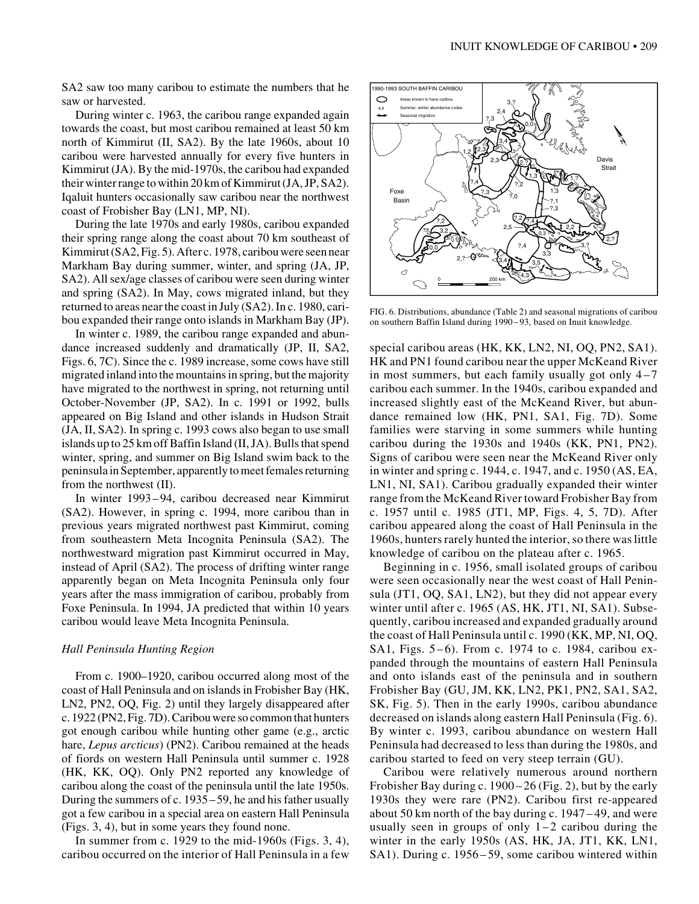SA2 saw too many caribou to estimate the numbers that he saw or harvested.

During winter c. 1963, the caribou range expanded again towards the coast, but most caribou remained at least 50 km north of Kimmirut (II, SA2). By the late 1960s, about 10 caribou were harvested annually for every five hunters in Kimmirut (JA). By the mid-1970s, the caribou had expanded their winter range to within 20 km of Kimmirut (JA, JP, SA2). Iqaluit hunters occasionally saw caribou near the northwest coast of Frobisher Bay (LN1, MP, NI).

During the late 1970s and early 1980s, caribou expanded their spring range along the coast about 70 km southeast of Kimmirut (SA2, Fig. 5). After c. 1978, caribou were seen near Markham Bay during summer, winter, and spring (JA, JP, SA2). All sex/age classes of caribou were seen during winter and spring (SA2). In May, cows migrated inland, but they returned to areas near the coast in July (SA2). In c. 1980, caribou expanded their range onto islands in Markham Bay (JP).

In winter c. 1989, the caribou range expanded and abundance increased suddenly and dramatically (JP, II, SA2, Figs. 6, 7C). Since the c. 1989 increase, some cows have still migrated inland into the mountains in spring, but the majority have migrated to the northwest in spring, not returning until October-November (JP, SA2). In c. 1991 or 1992, bulls appeared on Big Island and other islands in Hudson Strait (JA, II, SA2). In spring c. 1993 cows also began to use small islands up to 25 km off Baffin Island (II, JA). Bulls that spend winter, spring, and summer on Big Island swim back to the peninsula in September, apparently to meet females returning from the northwest (II).

In winter 1993– 94, caribou decreased near Kimmirut (SA2). However, in spring c. 1994, more caribou than in previous years migrated northwest past Kimmirut, coming from southeastern Meta Incognita Peninsula (SA2). The northwestward migration past Kimmirut occurred in May, instead of April (SA2). The process of drifting winter range apparently began on Meta Incognita Peninsula only four years after the mass immigration of caribou, probably from Foxe Peninsula. In 1994, JA predicted that within 10 years caribou would leave Meta Incognita Peninsula.

#### *Hall Peninsula Hunting Region*

From c. 1900–1920, caribou occurred along most of the coast of Hall Peninsula and on islands in Frobisher Bay (HK, LN2, PN2, OQ, Fig. 2) until they largely disappeared after c. 1922 (PN2, Fig. 7D). Caribou were so common that hunters got enough caribou while hunting other game (e.g., arctic hare, *Lepus arcticus*) (PN2). Caribou remained at the heads of fiords on western Hall Peninsula until summer c. 1928 (HK, KK, OQ). Only PN2 reported any knowledge of caribou along the coast of the peninsula until the late 1950s. During the summers of c. 1935–59, he and his father usually got a few caribou in a special area on eastern Hall Peninsula (Figs. 3, 4), but in some years they found none.

In summer from c. 1929 to the mid-1960s (Figs. 3, 4), caribou occurred on the interior of Hall Peninsula in a few



FIG. 6. Distributions, abundance (Table 2) and seasonal migrations of caribou on southern Baffin Island during 1990 – 93, based on Inuit knowledge.

special caribou areas (HK, KK, LN2, NI, OQ, PN2, SA1). HK and PN1 found caribou near the upper McKeand River in most summers, but each family usually got only 4–7 caribou each summer. In the 1940s, caribou expanded and increased slightly east of the McKeand River, but abundance remained low (HK, PN1, SA1, Fig. 7D). Some families were starving in some summers while hunting caribou during the 1930s and 1940s (KK, PN1, PN2). Signs of caribou were seen near the McKeand River only in winter and spring c. 1944, c. 1947, and c. 1950 (AS, EA, LN1, NI, SA1). Caribou gradually expanded their winter range from the McKeand River toward Frobisher Bay from c. 1957 until c. 1985 (JT1, MP, Figs. 4, 5, 7D). After caribou appeared along the coast of Hall Peninsula in the 1960s, hunters rarely hunted the interior, so there was little knowledge of caribou on the plateau after c. 1965.

Beginning in c. 1956, small isolated groups of caribou were seen occasionally near the west coast of Hall Peninsula (JT1, OQ, SA1, LN2), but they did not appear every winter until after c. 1965 (AS, HK, JT1, NI, SA1). Subsequently, caribou increased and expanded gradually around the coast of Hall Peninsula until c. 1990 (KK, MP, NI, OQ, SA1, Figs. 5–6). From c. 1974 to c. 1984, caribou expanded through the mountains of eastern Hall Peninsula and onto islands east of the peninsula and in southern Frobisher Bay (GU, JM, KK, LN2, PK1, PN2, SA1, SA2, SK, Fig. 5). Then in the early 1990s, caribou abundance decreased on islands along eastern Hall Peninsula (Fig. 6). By winter c. 1993, caribou abundance on western Hall Peninsula had decreased to less than during the 1980s, and caribou started to feed on very steep terrain (GU).

Caribou were relatively numerous around northern Frobisher Bay during c. 1900–26 (Fig. 2), but by the early 1930s they were rare (PN2). Caribou first re-appeared about 50 km north of the bay during c. 1947 – 49, and were usually seen in groups of only  $1-2$  caribou during the winter in the early 1950s (AS, HK, JA, JT1, KK, LN1, SA1). During c. 1956–59, some caribou wintered within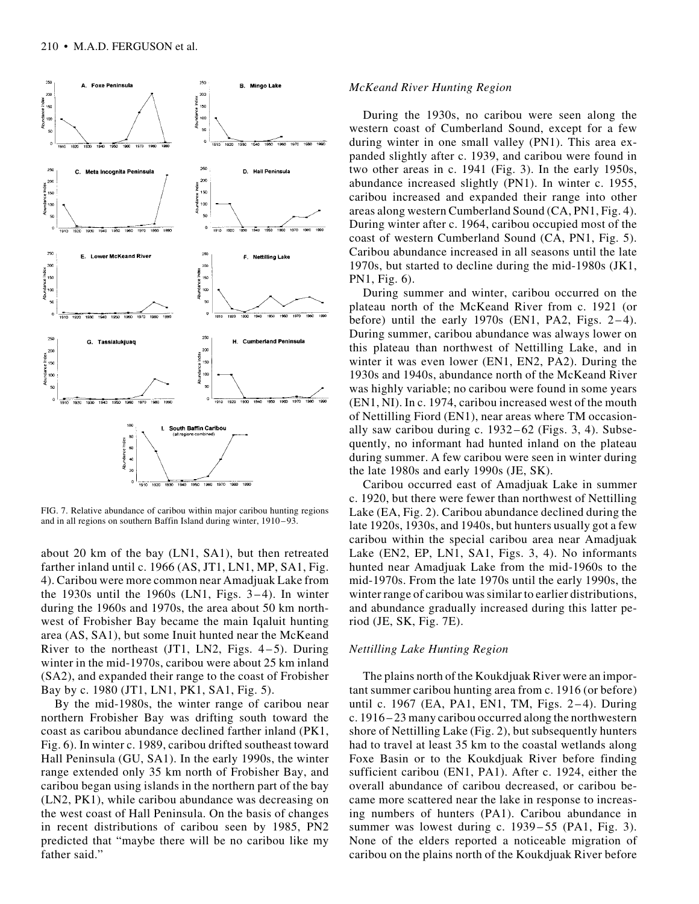

FIG. 7. Relative abundance of caribou within major caribou hunting regions and in all regions on southern Baffin Island during winter, 1910–93.

about 20 km of the bay (LN1, SA1), but then retreated farther inland until c. 1966 (AS, JT1, LN1, MP, SA1, Fig. 4). Caribou were more common near Amadjuak Lake from the 1930s until the 1960s (LN1, Figs. 3–4). In winter during the 1960s and 1970s, the area about 50 km northwest of Frobisher Bay became the main Iqaluit hunting area (AS, SA1), but some Inuit hunted near the McKeand River to the northeast  $(JT1, LN2, Figs. 4-5)$ . During winter in the mid-1970s, caribou were about 25 km inland (SA2), and expanded their range to the coast of Frobisher Bay by c. 1980 (JT1, LN1, PK1, SA1, Fig. 5).

By the mid-1980s, the winter range of caribou near northern Frobisher Bay was drifting south toward the coast as caribou abundance declined farther inland (PK1, Fig. 6). In winter c. 1989, caribou drifted southeast toward Hall Peninsula (GU, SA1). In the early 1990s, the winter range extended only 35 km north of Frobisher Bay, and caribou began using islands in the northern part of the bay (LN2, PK1), while caribou abundance was decreasing on the west coast of Hall Peninsula. On the basis of changes in recent distributions of caribou seen by 1985, PN2 predicted that "maybe there will be no caribou like my father said."

## *McKeand River Hunting Region*

During the 1930s, no caribou were seen along the western coast of Cumberland Sound, except for a few during winter in one small valley (PN1). This area expanded slightly after c. 1939, and caribou were found in two other areas in c. 1941 (Fig. 3). In the early 1950s, abundance increased slightly (PN1). In winter c. 1955, caribou increased and expanded their range into other areas along western Cumberland Sound (CA, PN1, Fig. 4). During winter after c. 1964, caribou occupied most of the coast of western Cumberland Sound (CA, PN1, Fig. 5). Caribou abundance increased in all seasons until the late 1970s, but started to decline during the mid-1980s (JK1, PN1, Fig. 6).

During summer and winter, caribou occurred on the plateau north of the McKeand River from c. 1921 (or before) until the early  $1970s$  (EN1, PA2, Figs. 2-4). During summer, caribou abundance was always lower on this plateau than northwest of Nettilling Lake, and in winter it was even lower (EN1, EN2, PA2). During the 1930s and 1940s, abundance north of the McKeand River was highly variable; no caribou were found in some years (EN1, NI). In c. 1974, caribou increased west of the mouth of Nettilling Fiord (EN1), near areas where TM occasionally saw caribou during c. 1932–62 (Figs. 3, 4). Subsequently, no informant had hunted inland on the plateau during summer. A few caribou were seen in winter during the late 1980s and early 1990s (JE, SK).

Caribou occurred east of Amadjuak Lake in summer c. 1920, but there were fewer than northwest of Nettilling Lake (EA, Fig. 2). Caribou abundance declined during the late 1920s, 1930s, and 1940s, but hunters usually got a few caribou within the special caribou area near Amadjuak Lake (EN2, EP, LN1, SA1, Figs. 3, 4). No informants hunted near Amadjuak Lake from the mid-1960s to the mid-1970s. From the late 1970s until the early 1990s, the winter range of caribou was similar to earlier distributions, and abundance gradually increased during this latter period (JE, SK, Fig. 7E).

#### *Nettilling Lake Hunting Region*

The plains north of the Koukdjuak River were an important summer caribou hunting area from c. 1916 (or before) until c. 1967 (EA, PA1, EN1, TM, Figs. 2–4). During c. 1916–23 many caribou occurred along the northwestern shore of Nettilling Lake (Fig. 2), but subsequently hunters had to travel at least 35 km to the coastal wetlands along Foxe Basin or to the Koukdjuak River before finding sufficient caribou (EN1, PA1). After c. 1924, either the overall abundance of caribou decreased, or caribou became more scattered near the lake in response to increasing numbers of hunters (PA1). Caribou abundance in summer was lowest during c. 1939–55 (PA1, Fig. 3). None of the elders reported a noticeable migration of caribou on the plains north of the Koukdjuak River before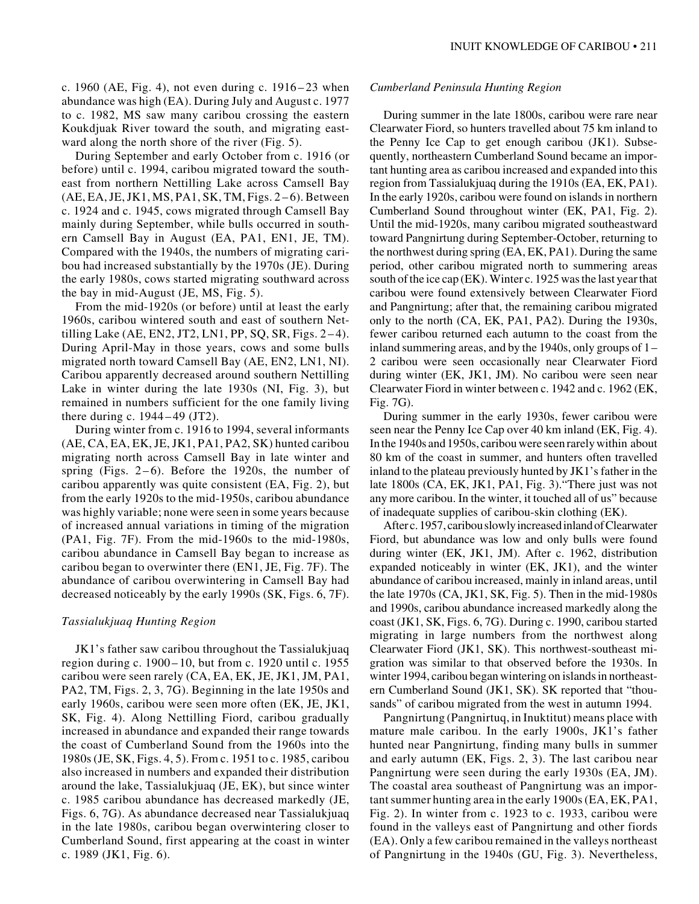c. 1960 (AE, Fig. 4), not even during c. 1916 – 23 when abundance was high (EA). During July and August c. 1977 to c. 1982, MS saw many caribou crossing the eastern Koukdjuak River toward the south, and migrating eastward along the north shore of the river (Fig. 5).

During September and early October from c. 1916 (or before) until c. 1994, caribou migrated toward the southeast from northern Nettilling Lake across Camsell Bay (AE, EA, JE, JK1, MS, PA1, SK, TM, Figs. 2–6). Between c. 1924 and c. 1945, cows migrated through Camsell Bay mainly during September, while bulls occurred in southern Camsell Bay in August (EA, PA1, EN1, JE, TM). Compared with the 1940s, the numbers of migrating caribou had increased substantially by the 1970s (JE). During the early 1980s, cows started migrating southward across the bay in mid-August (JE, MS, Fig. 5).

From the mid-1920s (or before) until at least the early 1960s, caribou wintered south and east of southern Nettilling Lake (AE, EN2, JT2, LN1, PP, SQ, SR, Figs.  $2-4$ ). During April-May in those years, cows and some bulls migrated north toward Camsell Bay (AE, EN2, LN1, NI). Caribou apparently decreased around southern Nettilling Lake in winter during the late 1930s (NI, Fig. 3), but remained in numbers sufficient for the one family living there during c. 1944–49 (JT2).

During winter from c. 1916 to 1994, several informants (AE, CA, EA, EK, JE, JK1, PA1, PA2, SK) hunted caribou migrating north across Camsell Bay in late winter and spring (Figs. 2–6). Before the 1920s, the number of caribou apparently was quite consistent (EA, Fig. 2), but from the early 1920s to the mid-1950s, caribou abundance was highly variable; none were seen in some years because of increased annual variations in timing of the migration (PA1, Fig. 7F). From the mid-1960s to the mid-1980s, caribou abundance in Camsell Bay began to increase as caribou began to overwinter there (EN1, JE, Fig. 7F). The abundance of caribou overwintering in Camsell Bay had decreased noticeably by the early 1990s (SK, Figs. 6, 7F).

# *Tassialukjuaq Hunting Region*

JK1's father saw caribou throughout the Tassialukjuaq region during c. 1900–10, but from c. 1920 until c. 1955 caribou were seen rarely (CA, EA, EK, JE, JK1, JM, PA1, PA2, TM, Figs. 2, 3, 7G). Beginning in the late 1950s and early 1960s, caribou were seen more often (EK, JE, JK1, SK, Fig. 4). Along Nettilling Fiord, caribou gradually increased in abundance and expanded their range towards the coast of Cumberland Sound from the 1960s into the 1980s (JE, SK, Figs. 4, 5). From c. 1951 to c. 1985, caribou also increased in numbers and expanded their distribution around the lake, Tassialukjuaq (JE, EK), but since winter c. 1985 caribou abundance has decreased markedly (JE, Figs. 6, 7G). As abundance decreased near Tassialukjuaq in the late 1980s, caribou began overwintering closer to Cumberland Sound, first appearing at the coast in winter c. 1989 (JK1, Fig. 6).

## *Cumberland Peninsula Hunting Region*

During summer in the late 1800s, caribou were rare near Clearwater Fiord, so hunters travelled about 75 km inland to the Penny Ice Cap to get enough caribou (JK1). Subsequently, northeastern Cumberland Sound became an important hunting area as caribou increased and expanded into this region from Tassialukjuaq during the 1910s (EA, EK, PA1). In the early 1920s, caribou were found on islands in northern Cumberland Sound throughout winter (EK, PA1, Fig. 2). Until the mid-1920s, many caribou migrated southeastward toward Pangnirtung during September-October, returning to the northwest during spring (EA, EK, PA1). During the same period, other caribou migrated north to summering areas south of the ice cap (EK). Winter c. 1925 was the last year that caribou were found extensively between Clearwater Fiord and Pangnirtung; after that, the remaining caribou migrated only to the north (CA, EK, PA1, PA2). During the 1930s, fewer caribou returned each autumn to the coast from the inland summering areas, and by the 1940s, only groups of 1– 2 caribou were seen occasionally near Clearwater Fiord during winter (EK, JK1, JM). No caribou were seen near Clearwater Fiord in winter between c. 1942 and c. 1962 (EK, Fig. 7G).

During summer in the early 1930s, fewer caribou were seen near the Penny Ice Cap over 40 km inland (EK, Fig. 4). In the 1940s and 1950s, caribou were seen rarely within about 80 km of the coast in summer, and hunters often travelled inland to the plateau previously hunted by JK1's father in the late 1800s (CA, EK, JK1, PA1, Fig. 3)."There just was not any more caribou. In the winter, it touched all of us" because of inadequate supplies of caribou-skin clothing (EK).

After c. 1957, caribou slowly increased inland of Clearwater Fiord, but abundance was low and only bulls were found during winter (EK, JK1, JM). After c. 1962, distribution expanded noticeably in winter (EK, JK1), and the winter abundance of caribou increased, mainly in inland areas, until the late 1970s (CA, JK1, SK, Fig. 5). Then in the mid-1980s and 1990s, caribou abundance increased markedly along the coast (JK1, SK, Figs. 6, 7G). During c. 1990, caribou started migrating in large numbers from the northwest along Clearwater Fiord (JK1, SK). This northwest-southeast migration was similar to that observed before the 1930s. In winter 1994, caribou began wintering on islands in northeastern Cumberland Sound (JK1, SK). SK reported that "thousands" of caribou migrated from the west in autumn 1994.

Pangnirtung (Pangnirtuq, in Inuktitut) means place with mature male caribou. In the early 1900s, JK1's father hunted near Pangnirtung, finding many bulls in summer and early autumn (EK, Figs. 2, 3). The last caribou near Pangnirtung were seen during the early 1930s (EA, JM). The coastal area southeast of Pangnirtung was an important summer hunting area in the early 1900s (EA, EK, PA1, Fig. 2). In winter from c. 1923 to c. 1933, caribou were found in the valleys east of Pangnirtung and other fiords (EA). Only a few caribou remained in the valleys northeast of Pangnirtung in the 1940s (GU, Fig. 3). Nevertheless,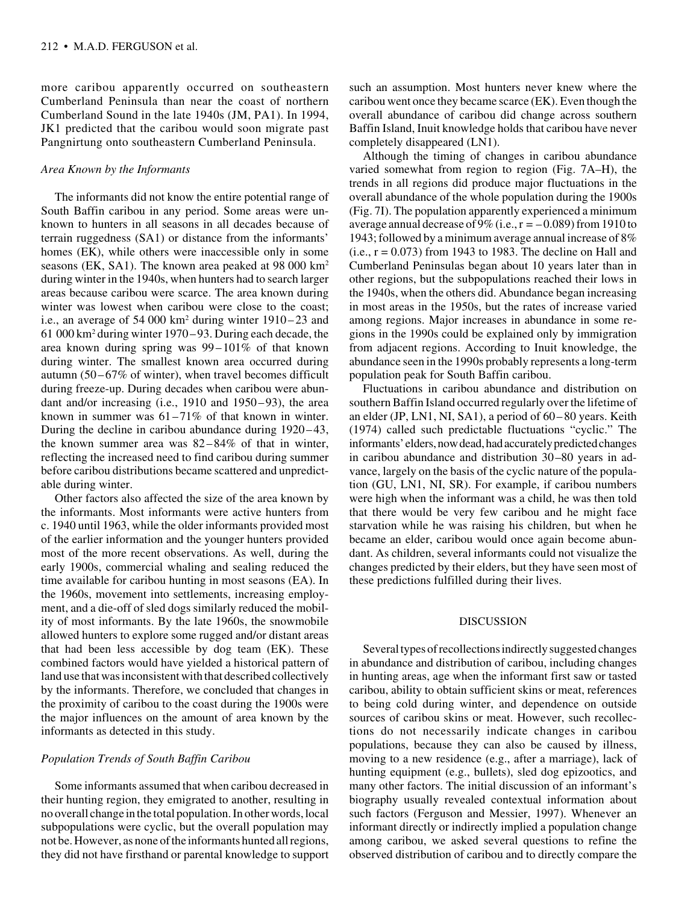more caribou apparently occurred on southeastern Cumberland Peninsula than near the coast of northern Cumberland Sound in the late 1940s (JM, PA1). In 1994, JK1 predicted that the caribou would soon migrate past Pangnirtung onto southeastern Cumberland Peninsula.

## *Area Known by the Informants*

The informants did not know the entire potential range of South Baffin caribou in any period. Some areas were unknown to hunters in all seasons in all decades because of terrain ruggedness (SA1) or distance from the informants' homes (EK), while others were inaccessible only in some seasons (EK, SA1). The known area peaked at 98 000 km2 during winter in the 1940s, when hunters had to search larger areas because caribou were scarce. The area known during winter was lowest when caribou were close to the coast; i.e., an average of 54 000 km<sup>2</sup> during winter 1910–23 and 61 000 km2 during winter 1970–93. During each decade, the area known during spring was 99–101% of that known during winter. The smallest known area occurred during autumn (50–67% of winter), when travel becomes difficult during freeze-up. During decades when caribou were abundant and/or increasing (i.e., 1910 and 1950–93), the area known in summer was 61–71% of that known in winter. During the decline in caribou abundance during 1920–43, the known summer area was 82–84% of that in winter, reflecting the increased need to find caribou during summer before caribou distributions became scattered and unpredictable during winter.

Other factors also affected the size of the area known by the informants. Most informants were active hunters from c. 1940 until 1963, while the older informants provided most of the earlier information and the younger hunters provided most of the more recent observations. As well, during the early 1900s, commercial whaling and sealing reduced the time available for caribou hunting in most seasons (EA). In the 1960s, movement into settlements, increasing employment, and a die-off of sled dogs similarly reduced the mobility of most informants. By the late 1960s, the snowmobile allowed hunters to explore some rugged and/or distant areas that had been less accessible by dog team (EK). These combined factors would have yielded a historical pattern of land use that was inconsistent with that described collectively by the informants. Therefore, we concluded that changes in the proximity of caribou to the coast during the 1900s were the major influences on the amount of area known by the informants as detected in this study.

# *Population Trends of South Baffin Caribou*

Some informants assumed that when caribou decreased in their hunting region, they emigrated to another, resulting in no overall change in the total population. In other words, local subpopulations were cyclic, but the overall population may not be. However, as none of the informants hunted all regions, they did not have firsthand or parental knowledge to support such an assumption. Most hunters never knew where the caribou went once they became scarce (EK). Even though the overall abundance of caribou did change across southern Baffin Island, Inuit knowledge holds that caribou have never completely disappeared (LN1).

Although the timing of changes in caribou abundance varied somewhat from region to region (Fig. 7A–H), the trends in all regions did produce major fluctuations in the overall abundance of the whole population during the 1900s (Fig. 7I). The population apparently experienced a minimum average annual decrease of 9% (i.e.,  $r = -0.089$ ) from 1910 to 1943; followed by a minimum average annual increase of 8%  $(i.e., r = 0.073)$  from 1943 to 1983. The decline on Hall and Cumberland Peninsulas began about 10 years later than in other regions, but the subpopulations reached their lows in the 1940s, when the others did. Abundance began increasing in most areas in the 1950s, but the rates of increase varied among regions. Major increases in abundance in some regions in the 1990s could be explained only by immigration from adjacent regions. According to Inuit knowledge, the abundance seen in the 1990s probably represents a long-term population peak for South Baffin caribou.

Fluctuations in caribou abundance and distribution on southern Baffin Island occurred regularly over the lifetime of an elder (JP, LN1, NI, SA1), a period of 60–80 years. Keith (1974) called such predictable fluctuations "cyclic." The informants' elders, now dead, had accurately predicted changes in caribou abundance and distribution 30–80 years in advance, largely on the basis of the cyclic nature of the population (GU, LN1, NI, SR). For example, if caribou numbers were high when the informant was a child, he was then told that there would be very few caribou and he might face starvation while he was raising his children, but when he became an elder, caribou would once again become abundant. As children, several informants could not visualize the changes predicted by their elders, but they have seen most of these predictions fulfilled during their lives.

# DISCUSSION

Several types of recollections indirectly suggested changes in abundance and distribution of caribou, including changes in hunting areas, age when the informant first saw or tasted caribou, ability to obtain sufficient skins or meat, references to being cold during winter, and dependence on outside sources of caribou skins or meat. However, such recollections do not necessarily indicate changes in caribou populations, because they can also be caused by illness, moving to a new residence (e.g., after a marriage), lack of hunting equipment (e.g., bullets), sled dog epizootics, and many other factors. The initial discussion of an informant's biography usually revealed contextual information about such factors (Ferguson and Messier, 1997). Whenever an informant directly or indirectly implied a population change among caribou, we asked several questions to refine the observed distribution of caribou and to directly compare the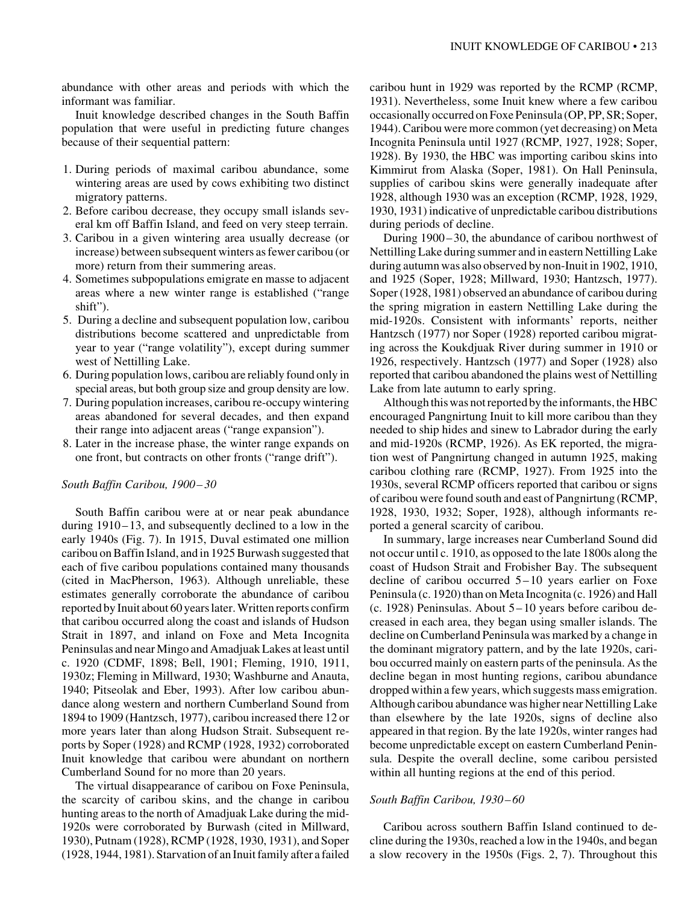abundance with other areas and periods with which the informant was familiar.

Inuit knowledge described changes in the South Baffin population that were useful in predicting future changes because of their sequential pattern:

- 1. During periods of maximal caribou abundance, some wintering areas are used by cows exhibiting two distinct migratory patterns.
- 2. Before caribou decrease, they occupy small islands several km off Baffin Island, and feed on very steep terrain.
- 3. Caribou in a given wintering area usually decrease (or increase) between subsequent winters as fewer caribou (or more) return from their summering areas.
- 4. Sometimes subpopulations emigrate en masse to adjacent areas where a new winter range is established ("range shift").
- 5. During a decline and subsequent population low, caribou distributions become scattered and unpredictable from year to year ("range volatility"), except during summer west of Nettilling Lake.
- 6. During population lows, caribou are reliably found only in special areas, but both group size and group density are low.
- 7. During population increases, caribou re-occupy wintering areas abandoned for several decades, and then expand their range into adjacent areas ("range expansion").
- 8. Later in the increase phase, the winter range expands on one front, but contracts on other fronts ("range drift").

#### *South Baffin Caribou, 1900– 30*

South Baffin caribou were at or near peak abundance during 1910–13, and subsequently declined to a low in the early 1940s (Fig. 7). In 1915, Duval estimated one million caribou on Baffin Island, and in 1925 Burwash suggested that each of five caribou populations contained many thousands (cited in MacPherson, 1963). Although unreliable, these estimates generally corroborate the abundance of caribou reported by Inuit about 60 years later. Written reports confirm that caribou occurred along the coast and islands of Hudson Strait in 1897, and inland on Foxe and Meta Incognita Peninsulas and near Mingo and Amadjuak Lakes at least until c. 1920 (CDMF, 1898; Bell, 1901; Fleming, 1910, 1911, 1930z; Fleming in Millward, 1930; Washburne and Anauta, 1940; Pitseolak and Eber, 1993). After low caribou abundance along western and northern Cumberland Sound from 1894 to 1909 (Hantzsch, 1977), caribou increased there 12 or more years later than along Hudson Strait. Subsequent reports by Soper (1928) and RCMP (1928, 1932) corroborated Inuit knowledge that caribou were abundant on northern Cumberland Sound for no more than 20 years.

The virtual disappearance of caribou on Foxe Peninsula, the scarcity of caribou skins, and the change in caribou hunting areas to the north of Amadjuak Lake during the mid-1920s were corroborated by Burwash (cited in Millward, 1930), Putnam (1928), RCMP (1928, 1930, 1931), and Soper (1928, 1944, 1981). Starvation of an Inuit family after a failed

caribou hunt in 1929 was reported by the RCMP (RCMP, 1931). Nevertheless, some Inuit knew where a few caribou occasionally occurred on Foxe Peninsula (OP, PP, SR; Soper, 1944). Caribou were more common (yet decreasing) on Meta Incognita Peninsula until 1927 (RCMP, 1927, 1928; Soper, 1928). By 1930, the HBC was importing caribou skins into Kimmirut from Alaska (Soper, 1981). On Hall Peninsula, supplies of caribou skins were generally inadequate after 1928, although 1930 was an exception (RCMP, 1928, 1929, 1930, 1931) indicative of unpredictable caribou distributions during periods of decline.

During 1900–30, the abundance of caribou northwest of Nettilling Lake during summer and in eastern Nettilling Lake during autumn was also observed by non-Inuit in 1902, 1910, and 1925 (Soper, 1928; Millward, 1930; Hantzsch, 1977). Soper (1928, 1981) observed an abundance of caribou during the spring migration in eastern Nettilling Lake during the mid-1920s. Consistent with informants' reports, neither Hantzsch (1977) nor Soper (1928) reported caribou migrating across the Koukdjuak River during summer in 1910 or 1926, respectively. Hantzsch (1977) and Soper (1928) also reported that caribou abandoned the plains west of Nettilling Lake from late autumn to early spring.

Although this was not reported by the informants, the HBC encouraged Pangnirtung Inuit to kill more caribou than they needed to ship hides and sinew to Labrador during the early and mid-1920s (RCMP, 1926). As EK reported, the migration west of Pangnirtung changed in autumn 1925, making caribou clothing rare (RCMP, 1927). From 1925 into the 1930s, several RCMP officers reported that caribou or signs of caribou were found south and east of Pangnirtung (RCMP, 1928, 1930, 1932; Soper, 1928), although informants reported a general scarcity of caribou.

In summary, large increases near Cumberland Sound did not occur until c. 1910, as opposed to the late 1800s along the coast of Hudson Strait and Frobisher Bay. The subsequent decline of caribou occurred 5–10 years earlier on Foxe Peninsula (c. 1920) than on Meta Incognita (c. 1926) and Hall (c. 1928) Peninsulas. About 5–10 years before caribou decreased in each area, they began using smaller islands. The decline on Cumberland Peninsula was marked by a change in the dominant migratory pattern, and by the late 1920s, caribou occurred mainly on eastern parts of the peninsula. As the decline began in most hunting regions, caribou abundance dropped within a few years, which suggests mass emigration. Although caribou abundance was higher near Nettilling Lake than elsewhere by the late 1920s, signs of decline also appeared in that region. By the late 1920s, winter ranges had become unpredictable except on eastern Cumberland Peninsula. Despite the overall decline, some caribou persisted within all hunting regions at the end of this period.

#### *South Baffin Caribou, 1930– 60*

Caribou across southern Baffin Island continued to decline during the 1930s, reached a low in the 1940s, and began a slow recovery in the 1950s (Figs. 2, 7). Throughout this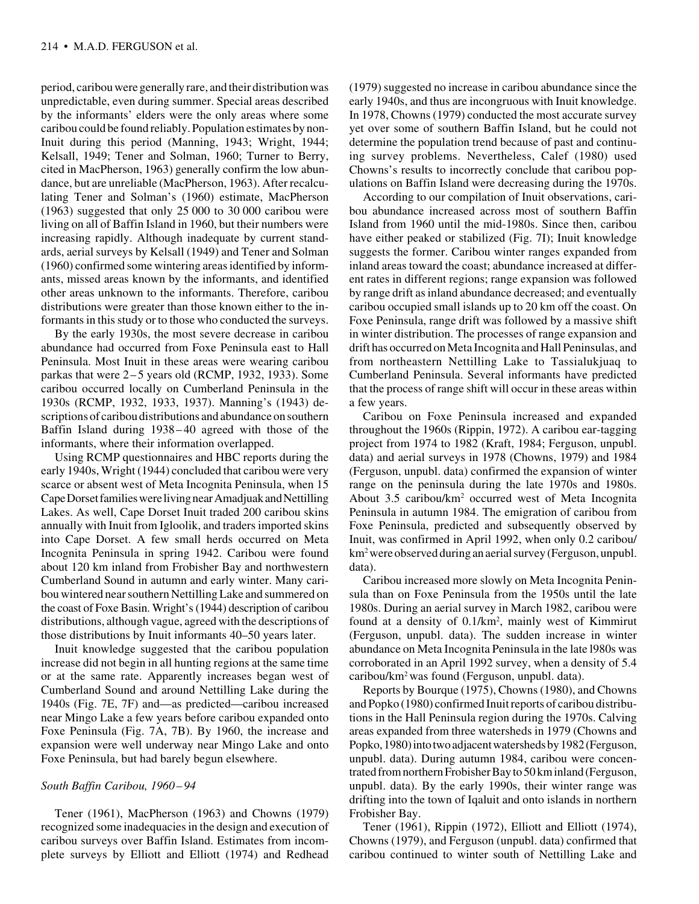period, caribou were generally rare, and their distribution was unpredictable, even during summer. Special areas described by the informants' elders were the only areas where some caribou could be found reliably. Population estimates by non-Inuit during this period (Manning, 1943; Wright, 1944; Kelsall, 1949; Tener and Solman, 1960; Turner to Berry, cited in MacPherson, 1963) generally confirm the low abundance, but are unreliable (MacPherson, 1963). After recalculating Tener and Solman's (1960) estimate, MacPherson (1963) suggested that only 25 000 to 30 000 caribou were living on all of Baffin Island in 1960, but their numbers were increasing rapidly. Although inadequate by current standards, aerial surveys by Kelsall (1949) and Tener and Solman (1960) confirmed some wintering areas identified by informants, missed areas known by the informants, and identified other areas unknown to the informants. Therefore, caribou distributions were greater than those known either to the informants in this study or to those who conducted the surveys.

By the early 1930s, the most severe decrease in caribou abundance had occurred from Foxe Peninsula east to Hall Peninsula. Most Inuit in these areas were wearing caribou parkas that were 2–5 years old (RCMP, 1932, 1933). Some caribou occurred locally on Cumberland Peninsula in the 1930s (RCMP, 1932, 1933, 1937). Manning's (1943) descriptions of caribou distributions and abundance on southern Baffin Island during 1938– 40 agreed with those of the informants, where their information overlapped.

Using RCMP questionnaires and HBC reports during the early 1940s, Wright (1944) concluded that caribou were very scarce or absent west of Meta Incognita Peninsula, when 15 Cape Dorset families were living near Amadjuak and Nettilling Lakes. As well, Cape Dorset Inuit traded 200 caribou skins annually with Inuit from Igloolik, and traders imported skins into Cape Dorset. A few small herds occurred on Meta Incognita Peninsula in spring 1942. Caribou were found about 120 km inland from Frobisher Bay and northwestern Cumberland Sound in autumn and early winter. Many caribou wintered near southern Nettilling Lake and summered on the coast of Foxe Basin. Wright's (1944) description of caribou distributions, although vague, agreed with the descriptions of those distributions by Inuit informants 40–50 years later.

Inuit knowledge suggested that the caribou population increase did not begin in all hunting regions at the same time or at the same rate. Apparently increases began west of Cumberland Sound and around Nettilling Lake during the 1940s (Fig. 7E, 7F) and—as predicted—caribou increased near Mingo Lake a few years before caribou expanded onto Foxe Peninsula (Fig. 7A, 7B). By 1960, the increase and expansion were well underway near Mingo Lake and onto Foxe Peninsula, but had barely begun elsewhere.

# *South Baffin Caribou, 1960–94*

Tener (1961), MacPherson (1963) and Chowns (1979) recognized some inadequacies in the design and execution of caribou surveys over Baffin Island. Estimates from incomplete surveys by Elliott and Elliott (1974) and Redhead (1979) suggested no increase in caribou abundance since the early 1940s, and thus are incongruous with Inuit knowledge. In 1978, Chowns (1979) conducted the most accurate survey yet over some of southern Baffin Island, but he could not determine the population trend because of past and continuing survey problems. Nevertheless, Calef (1980) used Chowns's results to incorrectly conclude that caribou populations on Baffin Island were decreasing during the 1970s.

According to our compilation of Inuit observations, caribou abundance increased across most of southern Baffin Island from 1960 until the mid-1980s. Since then, caribou have either peaked or stabilized (Fig. 7I); Inuit knowledge suggests the former. Caribou winter ranges expanded from inland areas toward the coast; abundance increased at different rates in different regions; range expansion was followed by range drift as inland abundance decreased; and eventually caribou occupied small islands up to 20 km off the coast. On Foxe Peninsula, range drift was followed by a massive shift in winter distribution. The processes of range expansion and drift has occurred on Meta Incognita and Hall Peninsulas, and from northeastern Nettilling Lake to Tassialukjuaq to Cumberland Peninsula. Several informants have predicted that the process of range shift will occur in these areas within a few years.

Caribou on Foxe Peninsula increased and expanded throughout the 1960s (Rippin, 1972). A caribou ear-tagging project from 1974 to 1982 (Kraft, 1984; Ferguson, unpubl. data) and aerial surveys in 1978 (Chowns, 1979) and 1984 (Ferguson, unpubl. data) confirmed the expansion of winter range on the peninsula during the late 1970s and 1980s. About 3.5 caribou/km<sup>2</sup> occurred west of Meta Incognita Peninsula in autumn 1984. The emigration of caribou from Foxe Peninsula, predicted and subsequently observed by Inuit, was confirmed in April 1992, when only 0.2 caribou/ km2 were observed during an aerial survey (Ferguson, unpubl. data).

Caribou increased more slowly on Meta Incognita Peninsula than on Foxe Peninsula from the 1950s until the late 1980s. During an aerial survey in March 1982, caribou were found at a density of 0.1/km2 , mainly west of Kimmirut (Ferguson, unpubl. data). The sudden increase in winter abundance on Meta Incognita Peninsula in the late l980s was corroborated in an April 1992 survey, when a density of 5.4 caribou/km2 was found (Ferguson, unpubl. data).

Reports by Bourque (1975), Chowns (1980), and Chowns and Popko (1980) confirmed Inuit reports of caribou distributions in the Hall Peninsula region during the 1970s. Calving areas expanded from three watersheds in 1979 (Chowns and Popko, 1980) into two adjacent watersheds by 1982 (Ferguson, unpubl. data). During autumn 1984, caribou were concentrated from northern Frobisher Bay to 50 km inland (Ferguson, unpubl. data). By the early 1990s, their winter range was drifting into the town of Iqaluit and onto islands in northern Frobisher Bay.

Tener (1961), Rippin (1972), Elliott and Elliott (1974), Chowns (1979), and Ferguson (unpubl. data) confirmed that caribou continued to winter south of Nettilling Lake and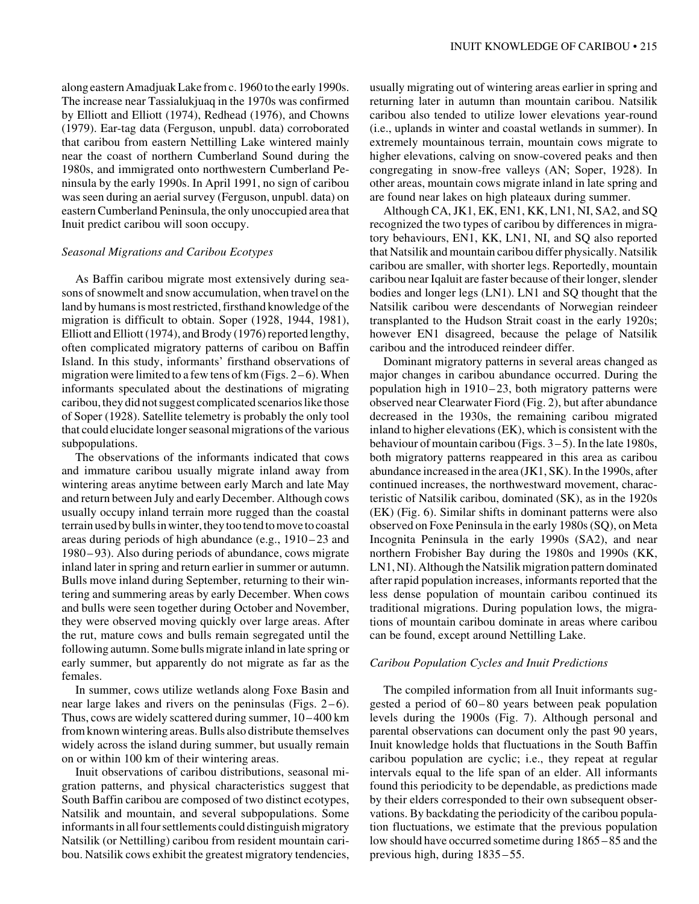along eastern Amadjuak Lake from c. 1960 to the early 1990s. The increase near Tassialukjuaq in the 1970s was confirmed by Elliott and Elliott (1974), Redhead (1976), and Chowns (1979). Ear-tag data (Ferguson, unpubl. data) corroborated that caribou from eastern Nettilling Lake wintered mainly near the coast of northern Cumberland Sound during the 1980s, and immigrated onto northwestern Cumberland Peninsula by the early 1990s. In April 1991, no sign of caribou was seen during an aerial survey (Ferguson, unpubl. data) on eastern Cumberland Peninsula, the only unoccupied area that Inuit predict caribou will soon occupy.

## *Seasonal Migrations and Caribou Ecotypes*

As Baffin caribou migrate most extensively during seasons of snowmelt and snow accumulation, when travel on the land by humans is most restricted, firsthand knowledge of the migration is difficult to obtain. Soper (1928, 1944, 1981), Elliott and Elliott (1974), and Brody (1976) reported lengthy, often complicated migratory patterns of caribou on Baffin Island. In this study, informants' firsthand observations of migration were limited to a few tens of km (Figs. 2–6). When informants speculated about the destinations of migrating caribou, they did not suggest complicated scenarios like those of Soper (1928). Satellite telemetry is probably the only tool that could elucidate longer seasonal migrations of the various subpopulations.

The observations of the informants indicated that cows and immature caribou usually migrate inland away from wintering areas anytime between early March and late May and return between July and early December. Although cows usually occupy inland terrain more rugged than the coastal terrain used by bulls in winter, they too tend to move to coastal areas during periods of high abundance (e.g., 1910– 23 and 1980– 93). Also during periods of abundance, cows migrate inland later in spring and return earlier in summer or autumn. Bulls move inland during September, returning to their wintering and summering areas by early December. When cows and bulls were seen together during October and November, they were observed moving quickly over large areas. After the rut, mature cows and bulls remain segregated until the following autumn. Some bulls migrate inland in late spring or early summer, but apparently do not migrate as far as the females.

In summer, cows utilize wetlands along Foxe Basin and near large lakes and rivers on the peninsulas (Figs.  $2-6$ ). Thus, cows are widely scattered during summer, 10–400 km from known wintering areas. Bulls also distribute themselves widely across the island during summer, but usually remain on or within 100 km of their wintering areas.

Inuit observations of caribou distributions, seasonal migration patterns, and physical characteristics suggest that South Baffin caribou are composed of two distinct ecotypes, Natsilik and mountain, and several subpopulations. Some informants in all four settlements could distinguish migratory Natsilik (or Nettilling) caribou from resident mountain caribou. Natsilik cows exhibit the greatest migratory tendencies,

usually migrating out of wintering areas earlier in spring and returning later in autumn than mountain caribou. Natsilik caribou also tended to utilize lower elevations year-round (i.e., uplands in winter and coastal wetlands in summer). In extremely mountainous terrain, mountain cows migrate to higher elevations, calving on snow-covered peaks and then congregating in snow-free valleys (AN; Soper, 1928). In other areas, mountain cows migrate inland in late spring and are found near lakes on high plateaux during summer.

Although CA, JK1, EK, EN1, KK, LN1, NI, SA2, and SQ recognized the two types of caribou by differences in migratory behaviours, EN1, KK, LN1, NI, and SQ also reported that Natsilik and mountain caribou differ physically. Natsilik caribou are smaller, with shorter legs. Reportedly, mountain caribou near Iqaluit are faster because of their longer, slender bodies and longer legs (LN1). LN1 and SQ thought that the Natsilik caribou were descendants of Norwegian reindeer transplanted to the Hudson Strait coast in the early 1920s; however EN1 disagreed, because the pelage of Natsilik caribou and the introduced reindeer differ.

Dominant migratory patterns in several areas changed as major changes in caribou abundance occurred. During the population high in 1910–23, both migratory patterns were observed near Clearwater Fiord (Fig. 2), but after abundance decreased in the 1930s, the remaining caribou migrated inland to higher elevations (EK), which is consistent with the behaviour of mountain caribou (Figs. 3–5). In the late 1980s, both migratory patterns reappeared in this area as caribou abundance increased in the area (JK1, SK). In the 1990s, after continued increases, the northwestward movement, characteristic of Natsilik caribou, dominated (SK), as in the 1920s (EK) (Fig. 6). Similar shifts in dominant patterns were also observed on Foxe Peninsula in the early 1980s (SQ), on Meta Incognita Peninsula in the early 1990s (SA2), and near northern Frobisher Bay during the 1980s and 1990s (KK, LN1, NI). Although the Natsilik migration pattern dominated after rapid population increases, informants reported that the less dense population of mountain caribou continued its traditional migrations. During population lows, the migrations of mountain caribou dominate in areas where caribou can be found, except around Nettilling Lake.

## *Caribou Population Cycles and Inuit Predictions*

The compiled information from all Inuit informants suggested a period of 60–80 years between peak population levels during the 1900s (Fig. 7). Although personal and parental observations can document only the past 90 years, Inuit knowledge holds that fluctuations in the South Baffin caribou population are cyclic; i.e., they repeat at regular intervals equal to the life span of an elder. All informants found this periodicity to be dependable, as predictions made by their elders corresponded to their own subsequent observations. By backdating the periodicity of the caribou population fluctuations, we estimate that the previous population low should have occurred sometime during 1865–85 and the previous high, during 1835–55.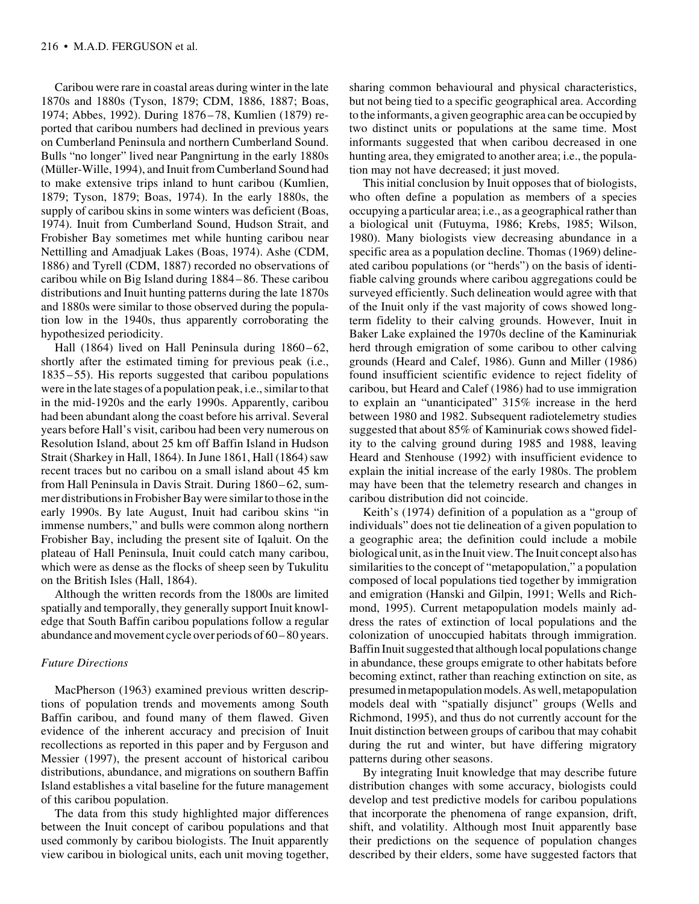Caribou were rare in coastal areas during winter in the late 1870s and 1880s (Tyson, 1879; CDM, 1886, 1887; Boas, 1974; Abbes, 1992). During 1876–78, Kumlien (1879) reported that caribou numbers had declined in previous years on Cumberland Peninsula and northern Cumberland Sound. Bulls "no longer" lived near Pangnirtung in the early 1880s (Müller-Wille, 1994), and Inuit from Cumberland Sound had to make extensive trips inland to hunt caribou (Kumlien, 1879; Tyson, 1879; Boas, 1974). In the early 1880s, the supply of caribou skins in some winters was deficient (Boas, 1974). Inuit from Cumberland Sound, Hudson Strait, and Frobisher Bay sometimes met while hunting caribou near Nettilling and Amadjuak Lakes (Boas, 1974). Ashe (CDM, 1886) and Tyrell (CDM, 1887) recorded no observations of caribou while on Big Island during 1884–86. These caribou distributions and Inuit hunting patterns during the late 1870s and 1880s were similar to those observed during the population low in the 1940s, thus apparently corroborating the hypothesized periodicity.

Hall (1864) lived on Hall Peninsula during 1860–62, shortly after the estimated timing for previous peak (i.e., 1835–55). His reports suggested that caribou populations were in the late stages of a population peak, i.e., similar to that in the mid-1920s and the early 1990s. Apparently, caribou had been abundant along the coast before his arrival. Several years before Hall's visit, caribou had been very numerous on Resolution Island, about 25 km off Baffin Island in Hudson Strait (Sharkey in Hall, 1864). In June 1861, Hall (1864) saw recent traces but no caribou on a small island about 45 km from Hall Peninsula in Davis Strait. During 1860–62, summer distributions in Frobisher Bay were similar to those in the early 1990s. By late August, Inuit had caribou skins "in immense numbers," and bulls were common along northern Frobisher Bay, including the present site of Iqaluit. On the plateau of Hall Peninsula, Inuit could catch many caribou, which were as dense as the flocks of sheep seen by Tukulitu on the British Isles (Hall, 1864).

Although the written records from the 1800s are limited spatially and temporally, they generally support Inuit knowledge that South Baffin caribou populations follow a regular abundance and movement cycle over periods of 60–80 years.

# *Future Directions*

MacPherson (1963) examined previous written descriptions of population trends and movements among South Baffin caribou, and found many of them flawed. Given evidence of the inherent accuracy and precision of Inuit recollections as reported in this paper and by Ferguson and Messier (1997), the present account of historical caribou distributions, abundance, and migrations on southern Baffin Island establishes a vital baseline for the future management of this caribou population.

The data from this study highlighted major differences between the Inuit concept of caribou populations and that used commonly by caribou biologists. The Inuit apparently view caribou in biological units, each unit moving together,

sharing common behavioural and physical characteristics, but not being tied to a specific geographical area. According to the informants, a given geographic area can be occupied by two distinct units or populations at the same time. Most informants suggested that when caribou decreased in one hunting area, they emigrated to another area; i.e., the population may not have decreased; it just moved.

This initial conclusion by Inuit opposes that of biologists, who often define a population as members of a species occupying a particular area; i.e., as a geographical rather than a biological unit (Futuyma, 1986; Krebs, 1985; Wilson, 1980). Many biologists view decreasing abundance in a specific area as a population decline. Thomas (1969) delineated caribou populations (or "herds") on the basis of identifiable calving grounds where caribou aggregations could be surveyed efficiently. Such delineation would agree with that of the Inuit only if the vast majority of cows showed longterm fidelity to their calving grounds. However, Inuit in Baker Lake explained the 1970s decline of the Kaminuriak herd through emigration of some caribou to other calving grounds (Heard and Calef, 1986). Gunn and Miller (1986) found insufficient scientific evidence to reject fidelity of caribou, but Heard and Calef (1986) had to use immigration to explain an "unanticipated" 315% increase in the herd between 1980 and 1982. Subsequent radiotelemetry studies suggested that about 85% of Kaminuriak cows showed fidelity to the calving ground during 1985 and 1988, leaving Heard and Stenhouse (1992) with insufficient evidence to explain the initial increase of the early 1980s. The problem may have been that the telemetry research and changes in caribou distribution did not coincide.

Keith's (1974) definition of a population as a "group of individuals" does not tie delineation of a given population to a geographic area; the definition could include a mobile biological unit, as in the Inuit view. The Inuit concept also has similarities to the concept of "metapopulation," a population composed of local populations tied together by immigration and emigration (Hanski and Gilpin, 1991; Wells and Richmond, 1995). Current metapopulation models mainly address the rates of extinction of local populations and the colonization of unoccupied habitats through immigration. Baffin Inuit suggested that although local populations change in abundance, these groups emigrate to other habitats before becoming extinct, rather than reaching extinction on site, as presumed in metapopulation models. As well, metapopulation models deal with "spatially disjunct" groups (Wells and Richmond, 1995), and thus do not currently account for the Inuit distinction between groups of caribou that may cohabit during the rut and winter, but have differing migratory patterns during other seasons.

By integrating Inuit knowledge that may describe future distribution changes with some accuracy, biologists could develop and test predictive models for caribou populations that incorporate the phenomena of range expansion, drift, shift, and volatility. Although most Inuit apparently base their predictions on the sequence of population changes described by their elders, some have suggested factors that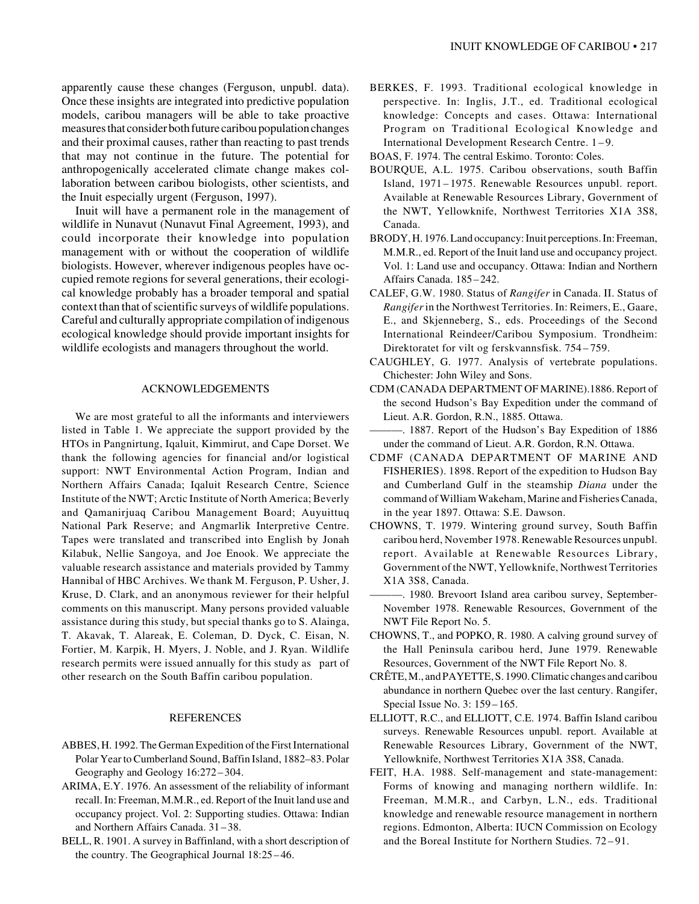apparently cause these changes (Ferguson, unpubl. data). Once these insights are integrated into predictive population models, caribou managers will be able to take proactive measures that consider both future caribou population changes and their proximal causes, rather than reacting to past trends that may not continue in the future. The potential for anthropogenically accelerated climate change makes collaboration between caribou biologists, other scientists, and the Inuit especially urgent (Ferguson, 1997).

Inuit will have a permanent role in the management of wildlife in Nunavut (Nunavut Final Agreement, 1993), and could incorporate their knowledge into population management with or without the cooperation of wildlife biologists. However, wherever indigenous peoples have occupied remote regions for several generations, their ecological knowledge probably has a broader temporal and spatial context than that of scientific surveys of wildlife populations. Careful and culturally appropriate compilation of indigenous ecological knowledge should provide important insights for wildlife ecologists and managers throughout the world.

# ACKNOWLEDGEMENTS

We are most grateful to all the informants and interviewers listed in Table 1. We appreciate the support provided by the HTOs in Pangnirtung, Iqaluit, Kimmirut, and Cape Dorset. We thank the following agencies for financial and/or logistical support: NWT Environmental Action Program, Indian and Northern Affairs Canada; Iqaluit Research Centre, Science Institute of the NWT; Arctic Institute of North America; Beverly and Qamanirjuaq Caribou Management Board; Auyuittuq National Park Reserve; and Angmarlik Interpretive Centre. Tapes were translated and transcribed into English by Jonah Kilabuk, Nellie Sangoya, and Joe Enook. We appreciate the valuable research assistance and materials provided by Tammy Hannibal of HBC Archives. We thank M. Ferguson, P. Usher, J. Kruse, D. Clark, and an anonymous reviewer for their helpful comments on this manuscript. Many persons provided valuable assistance during this study, but special thanks go to S. Alainga, T. Akavak, T. Alareak, E. Coleman, D. Dyck, C. Eisan, N. Fortier, M. Karpik, H. Myers, J. Noble, and J. Ryan. Wildlife research permits were issued annually for this study as part of other research on the South Baffin caribou population.

#### REFERENCES

- ABBES, H. 1992. The German Expedition of the First International Polar Year to Cumberland Sound, Baffin Island, 1882–83. Polar Geography and Geology 16:272 –304.
- ARIMA, E.Y. 1976. An assessment of the reliability of informant recall. In: Freeman, M.M.R., ed. Report of the Inuit land use and occupancy project. Vol. 2: Supporting studies. Ottawa: Indian and Northern Affairs Canada. 31 –38.
- BELL, R. 1901. A survey in Baffinland, with a short description of the country. The Geographical Journal 18:25 – 46.

BERKES, F. 1993. Traditional ecological knowledge in perspective. In: Inglis, J.T., ed. Traditional ecological knowledge: Concepts and cases. Ottawa: International Program on Traditional Ecological Knowledge and International Development Research Centre. 1 – 9.

BOAS, F. 1974. The central Eskimo. Toronto: Coles.

- BOURQUE, A.L. 1975. Caribou observations, south Baffin Island, 1971–1975. Renewable Resources unpubl. report. Available at Renewable Resources Library, Government of the NWT, Yellowknife, Northwest Territories X1A 3S8, Canada.
- BRODY, H. 1976. Land occupancy: Inuit perceptions. In: Freeman, M.M.R., ed. Report of the Inuit land use and occupancy project. Vol. 1: Land use and occupancy. Ottawa: Indian and Northern Affairs Canada. 185 –242.
- CALEF, G.W. 1980. Status of *Rangifer* in Canada. II. Status of *Rangifer* in the Northwest Territories. In: Reimers, E., Gaare, E., and Skjenneberg, S., eds. Proceedings of the Second International Reindeer/Caribou Symposium. Trondheim: Direktoratet for vilt og ferskvannsfisk. 754 – 759.
- CAUGHLEY, G. 1977. Analysis of vertebrate populations. Chichester: John Wiley and Sons.
- CDM (CANADA DEPARTMENT OF MARINE).1886. Report of the second Hudson's Bay Expedition under the command of Lieut. A.R. Gordon, R.N., 1885. Ottawa.
- ———. 1887. Report of the Hudson's Bay Expedition of 1886 under the command of Lieut. A.R. Gordon, R.N. Ottawa.
- CDMF (CANADA DEPARTMENT OF MARINE AND FISHERIES). 1898. Report of the expedition to Hudson Bay and Cumberland Gulf in the steamship *Diana* under the command of William Wakeham, Marine and Fisheries Canada, in the year 1897. Ottawa: S.E. Dawson.
- CHOWNS, T. 1979. Wintering ground survey, South Baffin caribou herd, November 1978. Renewable Resources unpubl. report. Available at Renewable Resources Library, Government of the NWT, Yellowknife, Northwest Territories X1A 3S8, Canada.
- ———. 1980. Brevoort Island area caribou survey, September-November 1978. Renewable Resources, Government of the NWT File Report No. 5.
- CHOWNS, T., and POPKO, R. 1980. A calving ground survey of the Hall Peninsula caribou herd, June 1979. Renewable Resources, Government of the NWT File Report No. 8.
- CRÊTE, M., and PAYETTE, S. 1990. Climatic changes and caribou abundance in northern Quebec over the last century. Rangifer, Special Issue No. 3: 159–165.
- ELLIOTT, R.C., and ELLIOTT, C.E. 1974. Baffin Island caribou surveys. Renewable Resources unpubl. report. Available at Renewable Resources Library, Government of the NWT, Yellowknife, Northwest Territories X1A 3S8, Canada.
- FEIT, H.A. 1988. Self-management and state-management: Forms of knowing and managing northern wildlife. In: Freeman, M.M.R., and Carbyn, L.N., eds. Traditional knowledge and renewable resource management in northern regions. Edmonton, Alberta: IUCN Commission on Ecology and the Boreal Institute for Northern Studies. 72 – 91.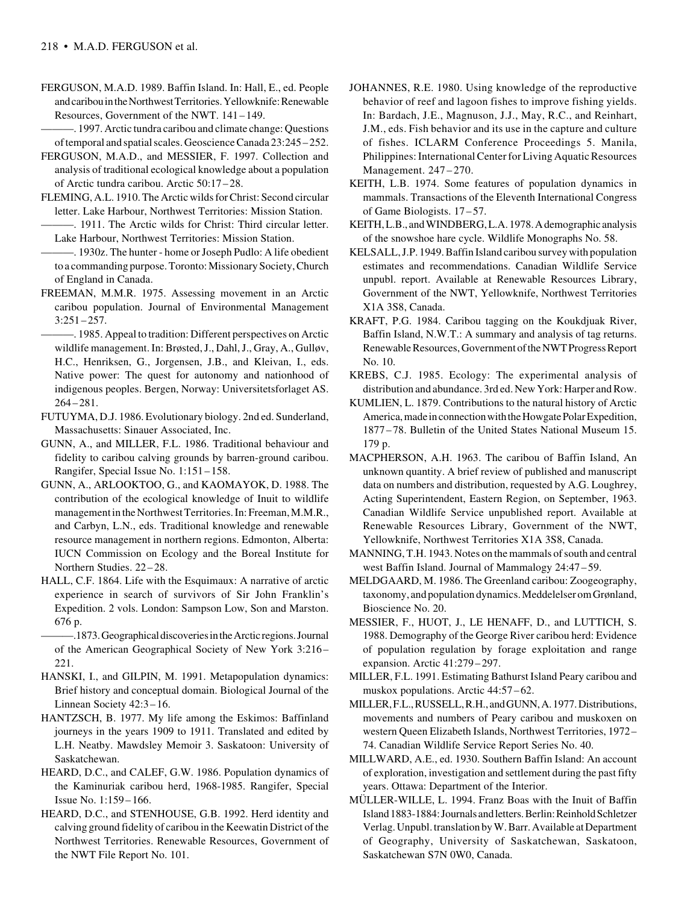- FERGUSON, M.A.D. 1989. Baffin Island. In: Hall, E., ed. People and caribou in the Northwest Territories. Yellowknife: Renewable Resources, Government of the NWT. 141–149.
	- ———. 1997. Arctic tundra caribou and climate change: Questions of temporal and spatial scales. Geoscience Canada 23:245–252.
- FERGUSON, M.A.D., and MESSIER, F. 1997. Collection and analysis of traditional ecological knowledge about a population of Arctic tundra caribou. Arctic 50:17–28.
- FLEMING, A.L. 1910. The Arctic wilds for Christ: Second circular letter. Lake Harbour, Northwest Territories: Mission Station.
- ———. 1911. The Arctic wilds for Christ: Third circular letter. Lake Harbour, Northwest Territories: Mission Station.
- -. 1930z. The hunter home or Joseph Pudlo: A life obedient to a commanding purpose. Toronto: Missionary Society, Church of England in Canada.
- FREEMAN, M.M.R. 1975. Assessing movement in an Arctic caribou population. Journal of Environmental Management 3:251–257.

———. 1985. Appeal to tradition: Different perspectives on Arctic wildlife management. In: Brøsted, J., Dahl, J., Gray, A., Gulløv, H.C., Henriksen, G., Jorgensen, J.B., and Kleivan, I., eds. Native power: The quest for autonomy and nationhood of indigenous peoples. Bergen, Norway: Universitetsforlaget AS. 264–281.

- FUTUYMA, D.J. 1986. Evolutionary biology. 2nd ed. Sunderland, Massachusetts: Sinauer Associated, Inc.
- GUNN, A., and MILLER, F.L. 1986. Traditional behaviour and fidelity to caribou calving grounds by barren-ground caribou. Rangifer, Special Issue No. 1:151–158.
- GUNN, A., ARLOOKTOO, G., and KAOMAYOK, D. 1988. The contribution of the ecological knowledge of Inuit to wildlife management in the Northwest Territories. In: Freeman, M.M.R., and Carbyn, L.N., eds. Traditional knowledge and renewable resource management in northern regions. Edmonton, Alberta: IUCN Commission on Ecology and the Boreal Institute for Northern Studies. 22–28.
- HALL, C.F. 1864. Life with the Esquimaux: A narrative of arctic experience in search of survivors of Sir John Franklin's Expedition. 2 vols. London: Sampson Low, Son and Marston. 676 p.

———.1873. Geographical discoveries in the Arctic regions. Journal of the American Geographical Society of New York 3:216– 221.

- HANSKI, I., and GILPIN, M. 1991. Metapopulation dynamics: Brief history and conceptual domain. Biological Journal of the Linnean Society 42:3–16.
- HANTZSCH, B. 1977. My life among the Eskimos: Baffinland journeys in the years 1909 to 1911. Translated and edited by L.H. Neatby. Mawdsley Memoir 3. Saskatoon: University of Saskatchewan.
- HEARD, D.C., and CALEF, G.W. 1986. Population dynamics of the Kaminuriak caribou herd, 1968-1985. Rangifer, Special Issue No. 1:159 – 166.
- HEARD, D.C., and STENHOUSE, G.B. 1992. Herd identity and calving ground fidelity of caribou in the Keewatin District of the Northwest Territories. Renewable Resources, Government of the NWT File Report No. 101.
- JOHANNES, R.E. 1980. Using knowledge of the reproductive behavior of reef and lagoon fishes to improve fishing yields. In: Bardach, J.E., Magnuson, J.J., May, R.C., and Reinhart, J.M., eds. Fish behavior and its use in the capture and culture of fishes. ICLARM Conference Proceedings 5. Manila, Philippines: International Center for Living Aquatic Resources Management. 247–270.
- KEITH, L.B. 1974. Some features of population dynamics in mammals. Transactions of the Eleventh International Congress of Game Biologists. 17–57.
- KEITH, L.B., and WINDBERG, L.A. 1978. A demographic analysis of the snowshoe hare cycle. Wildlife Monographs No. 58.
- KELSALL, J.P. 1949. Baffin Island caribou survey with population estimates and recommendations. Canadian Wildlife Service unpubl. report. Available at Renewable Resources Library, Government of the NWT, Yellowknife, Northwest Territories X1A 3S8, Canada.
- KRAFT, P.G. 1984. Caribou tagging on the Koukdjuak River, Baffin Island, N.W.T.: A summary and analysis of tag returns. Renewable Resources, Government of the NWT Progress Report No. 10.
- KREBS, C.J. 1985. Ecology: The experimental analysis of distribution and abundance. 3rd ed. New York: Harper and Row.
- KUMLIEN, L. 1879. Contributions to the natural history of Arctic America, made in connection with the Howgate Polar Expedition, 1877–78. Bulletin of the United States National Museum 15. 179 p.
- MACPHERSON, A.H. 1963. The caribou of Baffin Island, An unknown quantity. A brief review of published and manuscript data on numbers and distribution, requested by A.G. Loughrey, Acting Superintendent, Eastern Region, on September, 1963. Canadian Wildlife Service unpublished report. Available at Renewable Resources Library, Government of the NWT, Yellowknife, Northwest Territories X1A 3S8, Canada.
- MANNING, T.H. 1943. Notes on the mammals of south and central west Baffin Island. Journal of Mammalogy 24:47 –59.
- MELDGAARD, M. 1986. The Greenland caribou: Zoogeography, taxonomy, and population dynamics. Meddelelser om Grønland, Bioscience No. 20.
- MESSIER, F., HUOT, J., LE HENAFF, D., and LUTTICH, S. 1988. Demography of the George River caribou herd: Evidence of population regulation by forage exploitation and range expansion. Arctic 41:279 –297.
- MILLER, F.L. 1991. Estimating Bathurst Island Peary caribou and muskox populations. Arctic 44:57–62.
- MILLER, F.L., RUSSELL, R.H., and GUNN, A. 1977. Distributions, movements and numbers of Peary caribou and muskoxen on western Queen Elizabeth Islands, Northwest Territories, 1972– 74. Canadian Wildlife Service Report Series No. 40.
- MILLWARD, A.E., ed. 1930. Southern Baffin Island: An account of exploration, investigation and settlement during the past fifty years. Ottawa: Department of the Interior.
- MÜLLER-WILLE, L. 1994. Franz Boas with the Inuit of Baffin Island 1883-1884: Journals and letters. Berlin: Reinhold Schletzer Verlag. Unpubl. translation by W. Barr. Available at Department of Geography, University of Saskatchewan, Saskatoon, Saskatchewan S7N 0W0, Canada.